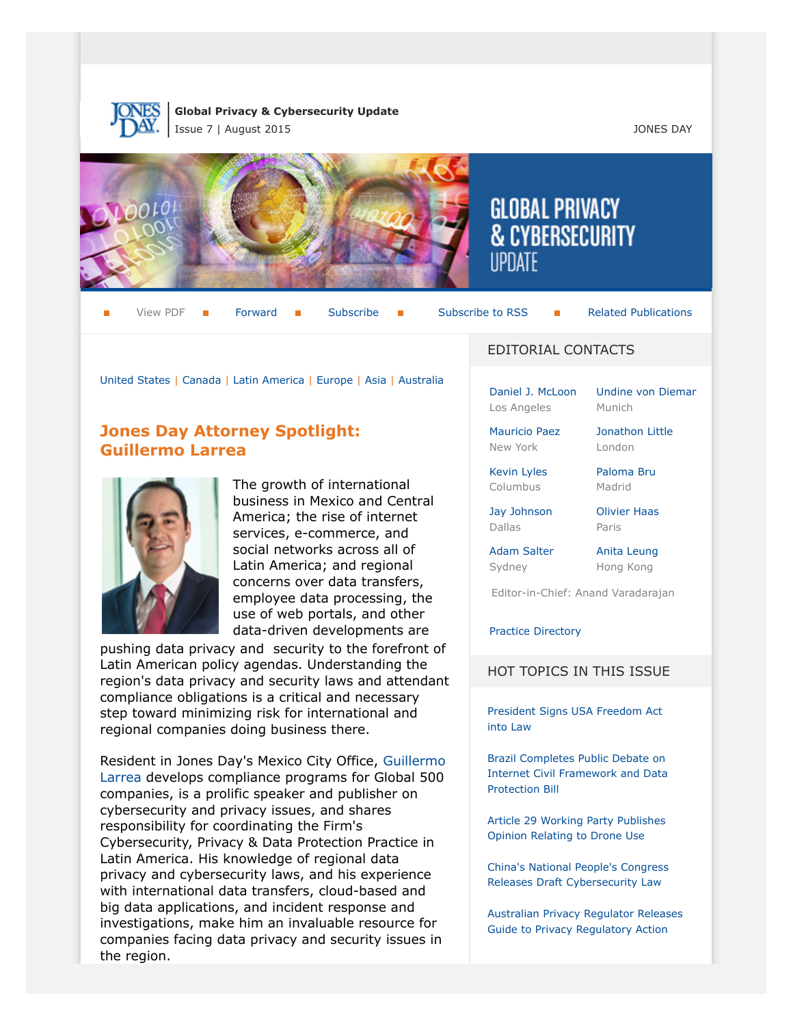

**Global Privacy & Cybersecurity Update** Issue 7 | August 2015 JONES DAY



View PDF  $\blacksquare$  [Forward](http://thewritestuff.jonesday.com/cff/505a286290eeed5c6779f77edd2bdf2fc26b8134/)  $\blacksquare$  [Subscribe](http://www.jonesday.com/newsknowledge/publications.aspx)  $\blacksquare$  [Subscribe to RSS](http://www.jonesday.com/newsknowledge/rss.aspx)  $\blacksquare$  [Related Publications](http://www.jonesday.com/experiencepractices/servicedetail.aspx?serviceid=667cc279-13c5-42de-b91c-34b923a75c52§ion=Publications)

[United States](#page-1-0) | [Canada](#page-7-0) | [Latin America](#page-8-0) | [Europe](#page-9-0) | [Asia](#page-14-0) | [Australia](#page-15-0)

# **Jones Day Attorney Spotlight: Guillermo Larrea**



The growth of international business in Mexico and Central America; the rise of internet services, e-commerce, and social networks across all of Latin America; and regional concerns over data transfers, employee data processing, the use of web portals, and other data-driven developments are

pushing data privacy and security to the forefront of Latin American policy agendas. Understanding the region's data privacy and security laws and attendant compliance obligations is a critical and necessary step toward minimizing risk for international and regional companies doing business there.

Resident in Jones Day's Mexico City Office, [Guillermo](http://www.jonesday.com/glarrea/) [Larrea](http://www.jonesday.com/glarrea/) develops compliance programs for Global 500 companies, is a prolific speaker and publisher on cybersecurity and privacy issues, and shares responsibility for coordinating the Firm's Cybersecurity, Privacy & Data Protection Practice in Latin America. His knowledge of regional data privacy and cybersecurity laws, and his experience with international data transfers, cloud-based and big data applications, and incident response and investigations, make him an invaluable resource for companies facing data privacy and security issues in the region.

## EDITORIAL CONTACTS

**GLOBAL PRIVACY** 

**& CYBERSECURITY** 

[Daniel J. McLoon](http://www.jonesday.com/djmcloon) Los Angeles

[Undine von Diemar](http://www.jonesday.com/uvondiemar) Munich

[Jonathon Little](http://www.jonesday.com/jrlittle) London

[Mauricio Paez](http://www.jonesday.com/mfpaez) New York

Columbus

Sydney

[Jay Johnson](http://www.jonesday.com/jjohnson)

[Kevin Lyles](http://www.jonesday.com/kdlyles) [Paloma Bru](http://www.jonesday.com/pbru)

Madrid

[Olivier Haas](http://www.jonesday.com/ohaas) Paris

Dallas [Adam Salter](http://www.jonesday.com/asalter)

[Anita Leung](http://www.jonesday.com/aleung) Hong Kong

Editor-in-Chief: Anand Varadarajan

[Practice Directory](#page-15-1)

#### HOT TOPICS IN THIS ISSUE

[President Signs USA Freedom Act](#page-4-0) [into Law](#page-4-0)

[Brazil Completes Public Debate on](#page-8-1) [Internet Civil Framework and Data](#page-8-1) [Protection Bill](#page-8-1)

[Article 29 Working Party Publishes](#page-9-1) [Opinion Relating to Drone Use](#page-9-1)

[China's National People's Congress](#page-14-1) [Releases Draft Cybersecurity Law](#page-14-1)

[Australian Privacy Regulator Releases](#page-15-2) [Guide to Privacy Regulatory Action](#page-15-2)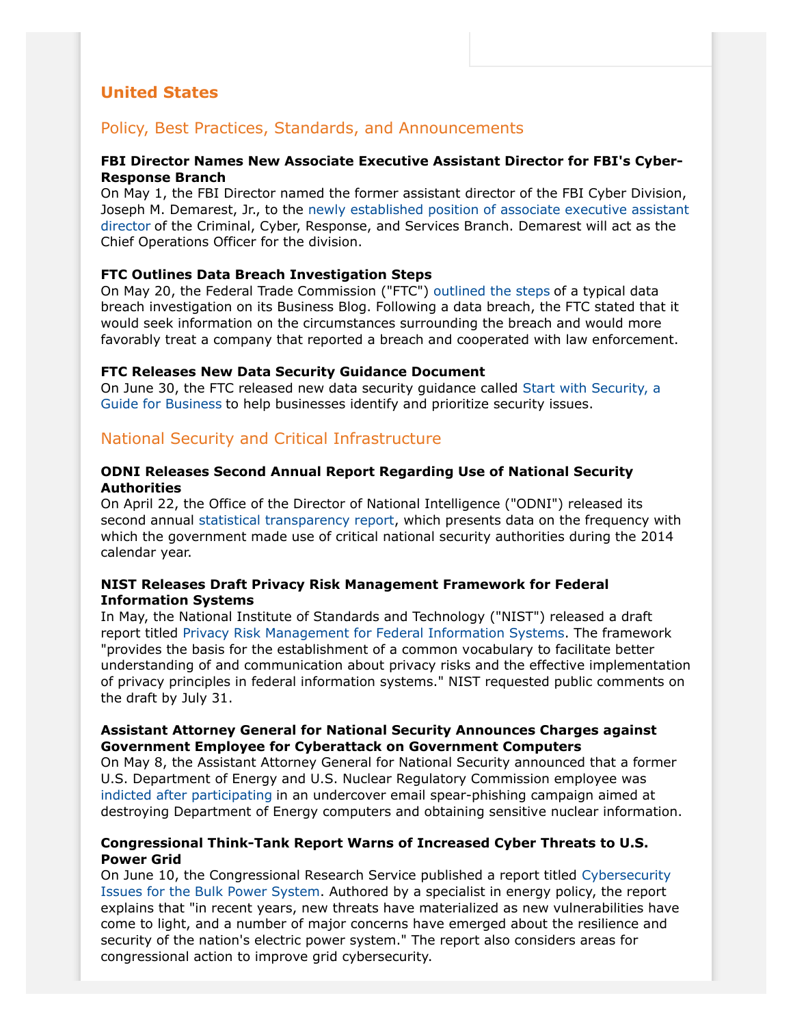# <span id="page-1-0"></span>**United States**

# Policy, Best Practices, Standards, and Announcements

## **FBI Director Names New Associate Executive Assistant Director for FBI's Cyber-Response Branch**

On May 1, the FBI Director named the former assistant director of the FBI Cyber Division, Joseph M. Demarest, Jr., to the [newly established position of associate executive assistant](https://www.fbi.gov/news/pressrel/press-releases/joseph-demarest-named-associate-executive-assistant-director-for-the-fbis-criminal-cyber-response-and-services-branch) [director](https://www.fbi.gov/news/pressrel/press-releases/joseph-demarest-named-associate-executive-assistant-director-for-the-fbis-criminal-cyber-response-and-services-branch) of the Criminal, Cyber, Response, and Services Branch. Demarest will act as the Chief Operations Officer for the division.

## **FTC Outlines Data Breach Investigation Steps**

On May 20, the Federal Trade Commission ("FTC") [outlined the steps](https://www.ftc.gov/news-events/blogs/business-blog/2015/05/if-ftc-comes-call?utm_source=govdelivery) of a typical data breach investigation on its Business Blog. Following a data breach, the FTC stated that it would seek information on the circumstances surrounding the breach and would more favorably treat a company that reported a breach and cooperated with law enforcement.

## **FTC Releases New Data Security Guidance Document**

On June 30, the FTC released new data security guidance called [Start with Security, a](https://www.ftc.gov/system/files/documents/plain-language/pdf0205-startwithsecurity.pdf) [Guide for Business](https://www.ftc.gov/system/files/documents/plain-language/pdf0205-startwithsecurity.pdf) to help businesses identify and prioritize security issues.

# National Security and Critical Infrastructure

#### **ODNI Releases Second Annual Report Regarding Use of National Security Authorities**

On April 22, the Office of the Director of National Intelligence ("ODNI") released its second annual [statistical transparency report,](http://www.dni.gov/files/icotr/CY14%20Statistical%20Transparency%20Report.pdf) which presents data on the frequency with which the government made use of critical national security authorities during the 2014 calendar year.

## **NIST Releases Draft Privacy Risk Management Framework for Federal Information Systems**

In May, the National Institute of Standards and Technology ("NIST") released a draft report titled [Privacy Risk Management for Federal Information Systems](http://csrc.nist.gov/publications/drafts/nistir-8062/nistir_8062_draft.pdf). The framework "provides the basis for the establishment of a common vocabulary to facilitate better understanding of and communication about privacy risks and the effective implementation of privacy principles in federal information systems." NIST requested public comments on the draft by July 31.

## **Assistant Attorney General for National Security Announces Charges against Government Employee for Cyberattack on Government Computers**

On May 8, the Assistant Attorney General for National Security announced that a former U.S. Department of Energy and U.S. Nuclear Regulatory Commission employee was [indicted after participating](https://www.fbi.gov/washingtondc/press-releases/2015/former-u.s.-nuclear-regulatory-commission-employee-charged-with-attempted-spear-phishing-cyber-attack-on-department-of-energy-computers) in an undercover email spear-phishing campaign aimed at destroying Department of Energy computers and obtaining sensitive nuclear information.

## **Congressional Think-Tank Report Warns of Increased Cyber Threats to U.S. Power Grid**

On June 10, the Congressional Research Service published a report titled [Cybersecurity](http://www.fas.org/sgp/crs/misc/R43989.pdf) [Issues for the Bulk Power System](http://www.fas.org/sgp/crs/misc/R43989.pdf). Authored by a specialist in energy policy, the report explains that "in recent years, new threats have materialized as new vulnerabilities have come to light, and a number of major concerns have emerged about the resilience and security of the nation's electric power system." The report also considers areas for congressional action to improve grid cybersecurity.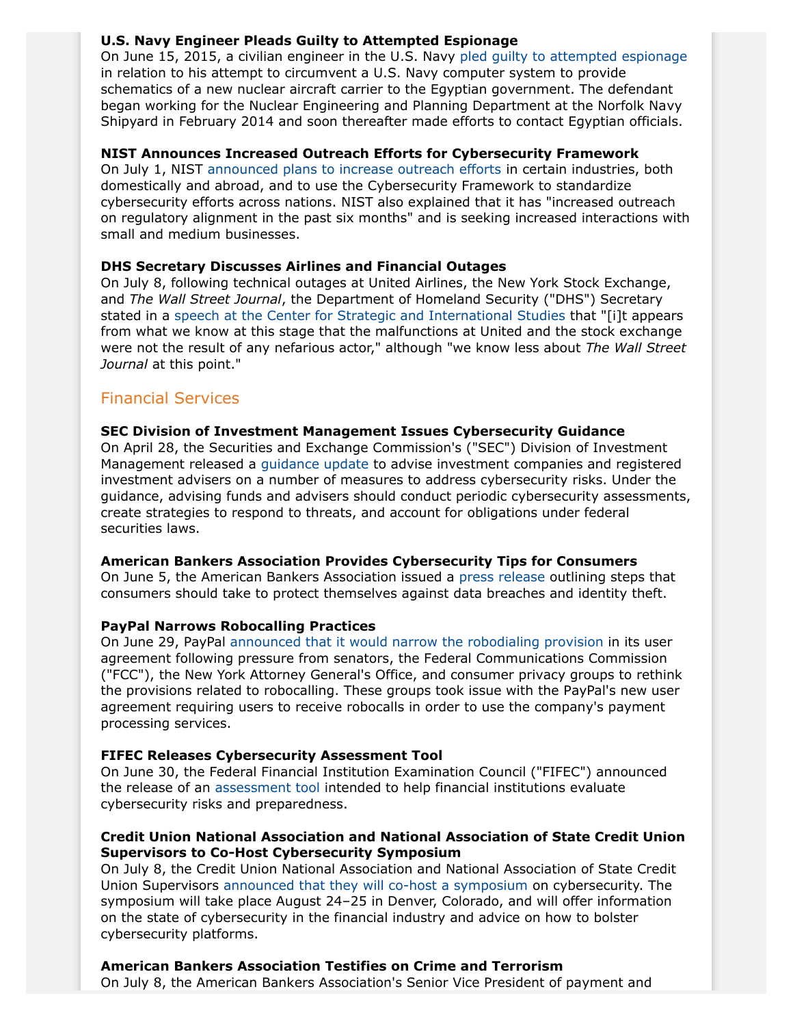## **U.S. Navy Engineer Pleads Guilty to Attempted Espionage**

On June 15, 2015, a civilian engineer in the U.S. Navy [pled guilty to attempted espionage](https://www.fbi.gov/norfolk/press-releases/2015/navy-civilian-engineer-pleads-guilty-to-attempted-espionage) in relation to his attempt to circumvent a U.S. Navy computer system to provide schematics of a new nuclear aircraft carrier to the Egyptian government. The defendant began working for the Nuclear Engineering and Planning Department at the Norfolk Navy Shipyard in February 2014 and soon thereafter made efforts to contact Egyptian officials.

## **NIST Announces Increased Outreach Efforts for Cybersecurity Framework**

On July 1, NIST [announced plans to increase outreach efforts](http://www.nist.gov/cyberframework/cyberframework-newsletter-07012015.cfm) in certain industries, both domestically and abroad, and to use the Cybersecurity Framework to standardize cybersecurity efforts across nations. NIST also explained that it has "increased outreach on regulatory alignment in the past six months" and is seeking increased interactions with small and medium businesses.

## **DHS Secretary Discusses Airlines and Financial Outages**

On July 8, following technical outages at United Airlines, the New York Stock Exchange, and *The Wall Street Journal*, the Department of Homeland Security ("DHS") Secretary stated in a [speech at the Center for Strategic and International Studies](http://csis.org/files/attachments/150708_Statesmens_Forum_DHS_Johnson.pdf) that "[i]t appears from what we know at this stage that the malfunctions at United and the stock exchange were not the result of any nefarious actor," although "we know less about *The Wall Street Journal* at this point."

# Financial Services

## **SEC Division of Investment Management Issues Cybersecurity Guidance**

On April 28, the Securities and Exchange Commission's ("SEC") Division of Investment Management released a [guidance update](http://www.sec.gov/investment/im-guidance-2015-02.pdf) to advise investment companies and registered investment advisers on a number of measures to address cybersecurity risks. Under the guidance, advising funds and advisers should conduct periodic cybersecurity assessments, create strategies to respond to threats, and account for obligations under federal securities laws.

## **American Bankers Association Provides Cybersecurity Tips for Consumers**

On June 5, the American Bankers Association issued a [press release](http://www.aba.com/Press/Pages/060515DataBreachTips.aspx) outlining steps that consumers should take to protect themselves against data breaches and identity theft.

## **PayPal Narrows Robocalling Practices**

On June 29, PayPal [announced that it would narrow the robodialing provision](https://stories.paypal-corp.com/home/an-update-to-our-user-agreement) in its user agreement following pressure from senators, the Federal Communications Commission ("FCC"), the New York Attorney General's Office, and consumer privacy groups to rethink the provisions related to robocalling. These groups took issue with the PayPal's new user agreement requiring users to receive robocalls in order to use the company's payment processing services.

## **FIFEC Releases Cybersecurity Assessment Tool**

On June 30, the Federal Financial Institution Examination Council ("FIFEC") announced the release of an [assessment tool](https://www.ffiec.gov/cyberassessmenttool.htm) intended to help financial institutions evaluate cybersecurity risks and preparedness.

## **Credit Union National Association and National Association of State Credit Union Supervisors to Co-Host Cybersecurity Symposium**

On July 8, the Credit Union National Association and National Association of State Credit Union Supervisors [announced that they will co-host a symposium](http://www.cuna.org/Stay-Informed/Press-Room/Press-Releases/2015-Press-Releases/NASCUS,-CUNA-to-co-host-symposium-on-cybersecurity/) on cybersecurity. The symposium will take place August 24–25 in Denver, Colorado, and will offer information on the state of cybersecurity in the financial industry and advice on how to bolster cybersecurity platforms.

## **American Bankers Association Testifies on Crime and Terrorism**

On July 8, the American Bankers Association's Senior Vice President of payment and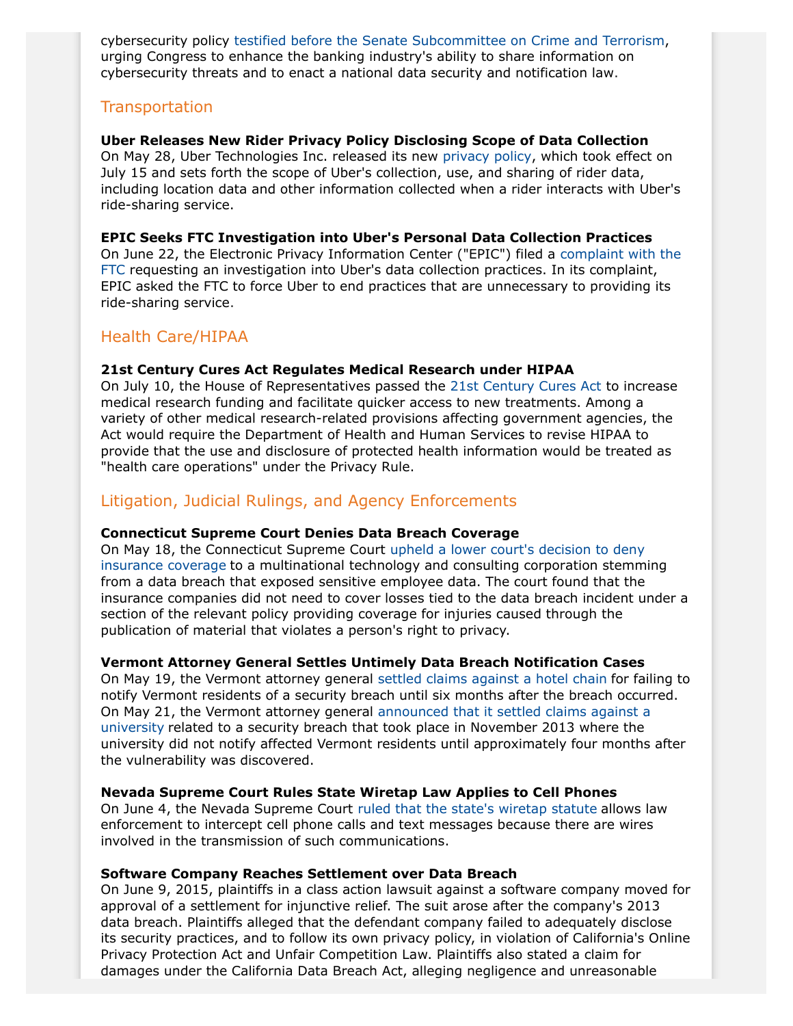cybersecurity policy [testified before the Senate Subcommittee on Crime and Terrorism](http://www.aba.com/Advocacy/Testimonies/Documents/JohnsonTestimony%20Senate%20Judiciary.pdf), urging Congress to enhance the banking industry's ability to share information on cybersecurity threats and to enact a national data security and notification law.

# **Transportation**

## **Uber Releases New Rider Privacy Policy Disclosing Scope of Data Collection**

On May 28, Uber Technologies Inc. released its new [privacy policy,](https://www.uber.com/legal/privacy/users/en) which took effect on July 15 and sets forth the scope of Uber's collection, use, and sharing of rider data, including location data and other information collected when a rider interacts with Uber's ride-sharing service.

## **EPIC Seeks FTC Investigation into Uber's Personal Data Collection Practices**

On June 22, the Electronic Privacy Information Center ("EPIC") filed a [complaint with the](https://www.epic.org/privacy/internet/ftc/uber/Complaint.pdf) [FTC](https://www.epic.org/privacy/internet/ftc/uber/Complaint.pdf) requesting an investigation into Uber's data collection practices. In its complaint, EPIC asked the FTC to force Uber to end practices that are unnecessary to providing its ride-sharing service.

# Health Care/HIPAA

## **21st Century Cures Act Regulates Medical Research under HIPAA**

On July 10, the House of Representatives passed the [21st Century Cures Act](http://www.gpo.gov/fdsys/pkg/BILLS-114hr6rh/pdf/BILLS-114hr6rh.pdf) to increase medical research funding and facilitate quicker access to new treatments. Among a variety of other medical research-related provisions affecting government agencies, the Act would require the Department of Health and Human Services to revise HIPAA to provide that the use and disclosure of protected health information would be treated as "health care operations" under the Privacy Rule.

# Litigation, Judicial Rulings, and Agency Enforcements

## **Connecticut Supreme Court Denies Data Breach Coverage**

On May 18, the Connecticut Supreme Court [upheld a lower court's decision to deny](http://www.jud.ct.gov/external/supapp/Cases/AROCR/CR317/317CR54.pdf) [insurance coverage](http://www.jud.ct.gov/external/supapp/Cases/AROCR/CR317/317CR54.pdf) to a multinational technology and consulting corporation stemming from a data breach that exposed sensitive employee data. The court found that the insurance companies did not need to cover losses tied to the data breach incident under a section of the relevant policy providing coverage for injuries caused through the publication of material that violates a person's right to privacy.

## **Vermont Attorney General Settles Untimely Data Breach Notification Cases**

On May 19, the Vermont attorney general [settled claims against a hotel chain](http://www.ago.vermont.gov/assets/files/Consumer/2015-05-21%20-%20AOD%20-%20Embassy%20Suites%20-%20Filed%20with%20Court.pdf) for failing to notify Vermont residents of a security breach until six months after the breach occurred. On May 21, the Vermont attorney general [announced that it settled claims against a](http://ago.vermont.gov/focus/news/attorney-general-settles-security-breaches-with-embassy-suites-san-francisco-airport-and-auburn-university.php) [university](http://ago.vermont.gov/focus/news/attorney-general-settles-security-breaches-with-embassy-suites-san-francisco-airport-and-auburn-university.php) related to a security breach that took place in November 2013 where the university did not notify affected Vermont residents until approximately four months after the vulnerability was discovered.

#### **Nevada Supreme Court Rules State Wiretap Law Applies to Cell Phones**

On June 4, the Nevada Supreme Court [ruled that the state's wiretap statute](http://law.justia.com/cases/nevada/supreme-court/2015/64287.html) allows law enforcement to intercept cell phone calls and text messages because there are wires involved in the transmission of such communications.

## **Software Company Reaches Settlement over Data Breach**

On June 9, 2015, plaintiffs in a class action lawsuit against a software company moved for approval of a settlement for injunctive relief. The suit arose after the company's 2013 data breach. Plaintiffs alleged that the defendant company failed to adequately disclose its security practices, and to follow its own privacy policy, in violation of California's Online Privacy Protection Act and Unfair Competition Law. Plaintiffs also stated a claim for damages under the California Data Breach Act, alleging negligence and unreasonable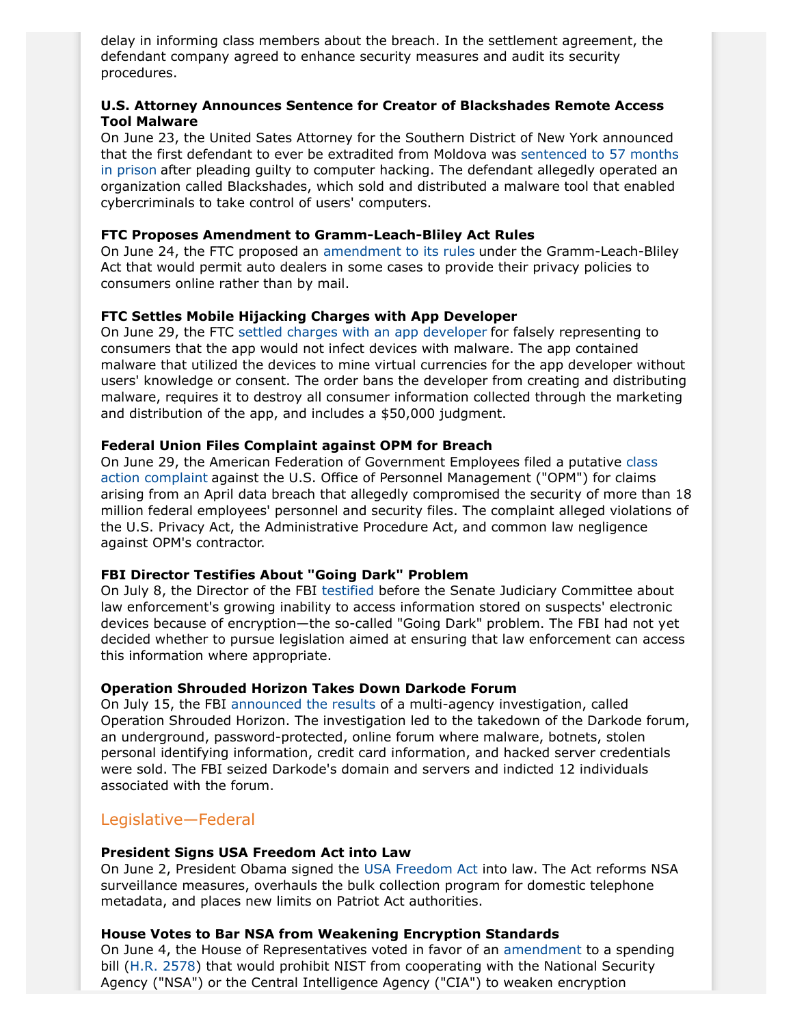delay in informing class members about the breach. In the settlement agreement, the defendant company agreed to enhance security measures and audit its security procedures.

## **U.S. Attorney Announces Sentence for Creator of Blackshades Remote Access Tool Malware**

On June 23, the United Sates Attorney for the Southern District of New York announced that the first defendant to ever be extradited from Moldova was [sentenced to 57 months](https://www.fbi.gov/newyork/press-releases/2015/swedish-co-creator-of-blackshades-malware-that-enabled-users-around-the-world-to-secretly-and-remotely-control-victims-computers-sentenced-to-57-months-in-prison) [in prison](https://www.fbi.gov/newyork/press-releases/2015/swedish-co-creator-of-blackshades-malware-that-enabled-users-around-the-world-to-secretly-and-remotely-control-victims-computers-sentenced-to-57-months-in-prison) after pleading guilty to computer hacking. The defendant allegedly operated an organization called Blackshades, which sold and distributed a malware tool that enabled cybercriminals to take control of users' computers.

## **FTC Proposes Amendment to Gramm-Leach-Bliley Act Rules**

On June 24, the FTC proposed an [amendment to its rules](https://www.ftc.gov/system/files/documents/federal_register_notices/2015/06/150624glbfrn.pdf) under the Gramm-Leach-Bliley Act that would permit auto dealers in some cases to provide their privacy policies to consumers online rather than by mail.

#### **FTC Settles Mobile Hijacking Charges with App Developer**

On June 29, the FTC [settled charges with an app developer](https://www.ftc.gov/system/files/documents/cases/150625equilivstip.pdf) for falsely representing to consumers that the app would not infect devices with malware. The app contained malware that utilized the devices to mine virtual currencies for the app developer without users' knowledge or consent. The order bans the developer from creating and distributing malware, requires it to destroy all consumer information collected through the marketing and distribution of the app, and includes a \$50,000 judgment.

#### **Federal Union Files Complaint against OPM for Breach**

On June 29, the American Federation of Government Employees filed a putative [class](https://www.afge.org/?documentID=4961) [action complaint](https://www.afge.org/?documentID=4961) against the U.S. Office of Personnel Management ("OPM") for claims arising from an April data breach that allegedly compromised the security of more than 18 million federal employees' personnel and security files. The complaint alleged violations of the U.S. Privacy Act, the Administrative Procedure Act, and common law negligence against OPM's contractor.

#### **FBI Director Testifies About "Going Dark" Problem**

On July 8, the Director of the FBI [testified](https://www.fbi.gov/news/testimony/going-dark-encryption-technology-and-the-balances-between-public-safety-and-privacy) before the Senate Judiciary Committee about law enforcement's growing inability to access information stored on suspects' electronic devices because of encryption—the so-called "Going Dark" problem. The FBI had not yet decided whether to pursue legislation aimed at ensuring that law enforcement can access this information where appropriate.

#### **Operation Shrouded Horizon Takes Down Darkode Forum**

On July 15, the FBI [announced the results](https://www.fbi.gov/news/stories/2015/july/cyber-criminal-forum-taken-down) of a multi-agency investigation, called Operation Shrouded Horizon. The investigation led to the takedown of the Darkode forum, an underground, password-protected, online forum where malware, botnets, stolen personal identifying information, credit card information, and hacked server credentials were sold. The FBI seized Darkode's domain and servers and indicted 12 individuals associated with the forum.

#### Legislative—Federal

#### <span id="page-4-0"></span>**President Signs USA Freedom Act into Law**

On June 2, President Obama signed the [USA Freedom Act](http://www.gpo.gov/fdsys/pkg/BILLS-114hr2048pcs/pdf/BILLS-114hr2048pcs.pdf) into law. The Act reforms NSA surveillance measures, overhauls the bulk collection program for domestic telephone metadata, and places new limits on Patriot Act authorities.

#### **House Votes to Bar NSA from Weakening Encryption Standards**

On June 4, the House of Representatives voted in favor of an [amendment](http://repcloakroom.house.gov/uploadedfiles/cjs16massie4.pdf) to a spending bill [\(H.R. 2578](https://www.congress.gov/bill/114th-congress/house-bill/2578/text)) that would prohibit NIST from cooperating with the National Security Agency ("NSA") or the Central Intelligence Agency ("CIA") to weaken encryption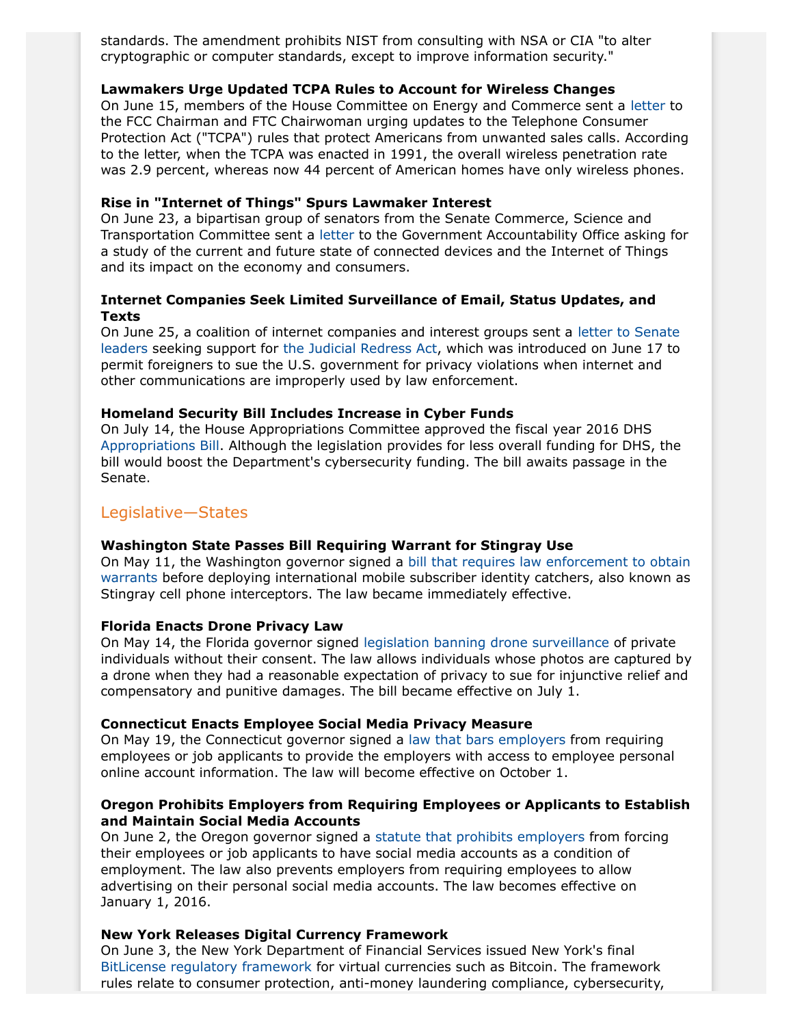standards. The amendment prohibits NIST from consulting with NSA or CIA "to alter cryptographic or computer standards, except to improve information security."

#### **Lawmakers Urge Updated TCPA Rules to Account for Wireless Changes**

On June 15, members of the House Committee on Energy and Commerce sent a [letter](http://assets.law360news.com/0667000/667765/Letter.pdf) to the FCC Chairman and FTC Chairwoman urging updates to the Telephone Consumer Protection Act ("TCPA") rules that protect Americans from unwanted sales calls. According to the letter, when the TCPA was enacted in 1991, the overall wireless penetration rate was 2.9 percent, whereas now 44 percent of American homes have only wireless phones.

#### **Rise in "Internet of Things" Spurs Lawmaker Interest**

On June 23, a bipartisan group of senators from the Senate Commerce, Science and Transportation Committee sent a [letter](http://www.fischer.senate.gov/public/_cache/files/1127dad6-b479-4737-bd01-995e74d0b21e/gao-iot-letter.pdf) to the Government Accountability Office asking for a study of the current and future state of connected devices and the Internet of Things and its impact on the economy and consumers.

## **Internet Companies Seek Limited Surveillance of Email, Status Updates, and Texts**

On June 25, a coalition of internet companies and interest groups sent a [letter to Senate](http://www.ccianet.org/wp-content/uploads/2015/06/Joint-Letter-Judicial-Redress-Act-6.25.15.pdf) [leaders](http://www.ccianet.org/wp-content/uploads/2015/06/Joint-Letter-Judicial-Redress-Act-6.25.15.pdf) seeking support for [the Judicial Redress Act,](http://www.gpo.gov/fdsys/pkg/BILLS-114s1600is/pdf/BILLS-114s1600is.pdf) which was introduced on June 17 to permit foreigners to sue the U.S. government for privacy violations when internet and other communications are improperly used by law enforcement.

#### **Homeland Security Bill Includes Increase in Cyber Funds**

On July 14, the House Appropriations Committee approved the fiscal year 2016 DHS [Appropriations Bill.](http://appropriations.house.gov/uploadedfiles/bills-114hr-fc-ap-fy2016-ap00-hsecurity.pdf) Although the legislation provides for less overall funding for DHS, the bill would boost the Department's cybersecurity funding. The bill awaits passage in the Senate.

## Legislative—States

#### **Washington State Passes Bill Requiring Warrant for Stingray Use**

On May 11, the Washington governor signed a [bill that requires law enforcement to obtain](http://lawfilesext.leg.wa.gov/biennium/2015-16/Pdf/Bills/House%20Bills/1440.pdf) [warrants](http://lawfilesext.leg.wa.gov/biennium/2015-16/Pdf/Bills/House%20Bills/1440.pdf) before deploying international mobile subscriber identity catchers, also known as Stingray cell phone interceptors. The law became immediately effective.

#### **Florida Enacts Drone Privacy Law**

On May 14, the Florida governor signed [legislation banning drone surveillance](http://www.flsenate.gov/Session/Bill/2015/0766/BillText/Filed/PDF) of private individuals without their consent. The law allows individuals whose photos are captured by a drone when they had a reasonable expectation of privacy to sue for injunctive relief and compensatory and punitive damages. The bill became effective on July 1.

## **Connecticut Enacts Employee Social Media Privacy Measure**

On May 19, the Connecticut governor signed a [law that bars employers](http://www.cga.ct.gov/2015/ACT/PA/2015PA-00006-R00SB-00426-PA.htm) from requiring employees or job applicants to provide the employers with access to employee personal online account information. The law will become effective on October 1.

## **Oregon Prohibits Employers from Requiring Employees or Applicants to Establish and Maintain Social Media Accounts**

On June 2, the Oregon governor signed a [statute that prohibits employers](https://olis.leg.state.or.us/liz/2015R1/Downloads/MeasureDocument/SB185/Enrolled) from forcing their employees or job applicants to have social media accounts as a condition of employment. The law also prevents employers from requiring employees to allow advertising on their personal social media accounts. The law becomes effective on January 1, 2016.

## **New York Releases Digital Currency Framework**

On June 3, the New York Department of Financial Services issued New York's final [BitLicense regulatory framework](http://www.dfs.ny.gov/legal/regulations/adoptions/dfsp200t.pdf) for virtual currencies such as Bitcoin. The framework rules relate to consumer protection, anti-money laundering compliance, cybersecurity,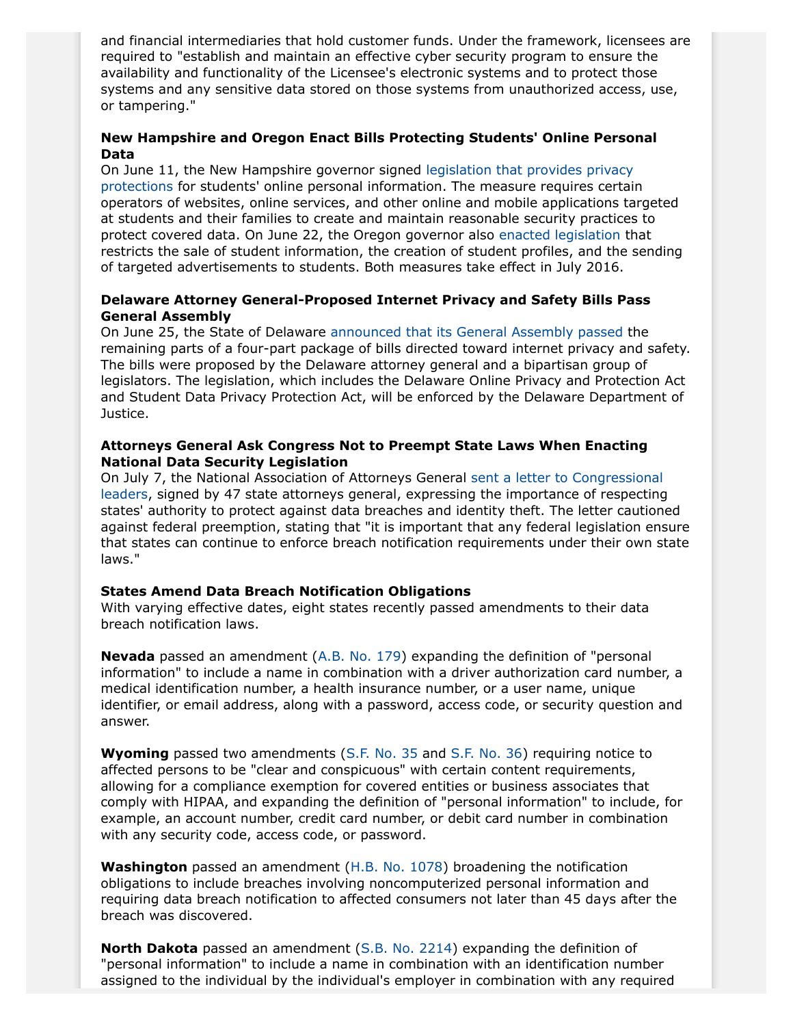and financial intermediaries that hold customer funds. Under the framework, licensees are required to "establish and maintain an effective cyber security program to ensure the availability and functionality of the Licensee's electronic systems and to protect those systems and any sensitive data stored on those systems from unauthorized access, use, or tampering."

## **New Hampshire and Oregon Enact Bills Protecting Students' Online Personal Data**

On June 11, the New Hampshire governor signed [legislation that provides privacy](http://www.gencourt.state.nh.us/legislation/2015/HB0520.pdf) [protections](http://www.gencourt.state.nh.us/legislation/2015/HB0520.pdf) for students' online personal information. The measure requires certain operators of websites, online services, and other online and mobile applications targeted at students and their families to create and maintain reasonable security practices to protect covered data. On June 22, the Oregon governor also [enacted legislation](https://olis.leg.state.or.us/liz/2015R1/Downloads/MeasureDocument/SB0187/Enrolled) that restricts the sale of student information, the creation of student profiles, and the sending of targeted advertisements to students. Both measures take effect in July 2016.

#### **Delaware Attorney General-Proposed Internet Privacy and Safety Bills Pass General Assembly**

On June 25, the State of Delaware [announced that its General Assembly passed](http://news.delaware.gov/2015/06/26/general-assembly-passes-all-four-bills-on-attorney-generals-internet-privacy-and-safety-agenda/) the remaining parts of a four-part package of bills directed toward internet privacy and safety. The bills were proposed by the Delaware attorney general and a bipartisan group of legislators. The legislation, which includes the Delaware Online Privacy and Protection Act and Student Data Privacy Protection Act, will be enforced by the Delaware Department of Justice.

## **Attorneys General Ask Congress Not to Preempt State Laws When Enacting National Data Security Legislation**

On July 7, the National Association of Attorneys General [sent a letter to Congressional](http://www.naag.org/assets/redesign/files/sign-on-letter/Final%20NAAG%20Data%20Breach%20Notification%20Letter.pdf) [leaders](http://www.naag.org/assets/redesign/files/sign-on-letter/Final%20NAAG%20Data%20Breach%20Notification%20Letter.pdf), signed by 47 state attorneys general, expressing the importance of respecting states' authority to protect against data breaches and identity theft. The letter cautioned against federal preemption, stating that "it is important that any federal legislation ensure that states can continue to enforce breach notification requirements under their own state laws."

## **States Amend Data Breach Notification Obligations**

With varying effective dates, eight states recently passed amendments to their data breach notification laws.

**Nevada** passed an amendment ([A.B. No. 179\)](https://www.leg.state.nv.us/Session/78th2015/Bills/AB/AB179_EN.pdf) expanding the definition of "personal information" to include a name in combination with a driver authorization card number, a medical identification number, a health insurance number, or a user name, unique identifier, or email address, along with a password, access code, or security question and answer.

**Wyoming** passed two amendments ([S.F. No. 35](http://legisweb.state.wy.us/2015/Enroll/SF0035.pdf) and [S.F. No. 36](http://legisweb.state.wy.us/2015/Enroll/SF0036.pdf)) requiring notice to affected persons to be "clear and conspicuous" with certain content requirements, allowing for a compliance exemption for covered entities or business associates that comply with HIPAA, and expanding the definition of "personal information" to include, for example, an account number, credit card number, or debit card number in combination with any security code, access code, or password.

**Washington** passed an amendment ([H.B. No. 1078\)](http://lawfilesext.leg.wa.gov/biennium/2015-16/Pdf/Bills/Session%20Laws/House/1078-S.SL.pdf) broadening the notification obligations to include breaches involving noncomputerized personal information and requiring data breach notification to affected consumers not later than 45 days after the breach was discovered.

**North Dakota** passed an amendment ([S.B. No. 2214](http://www.legis.nd.gov/assembly/64-2015/documents/15-8181-04000.pdf?20150708092741)) expanding the definition of "personal information" to include a name in combination with an identification number assigned to the individual by the individual's employer in combination with any required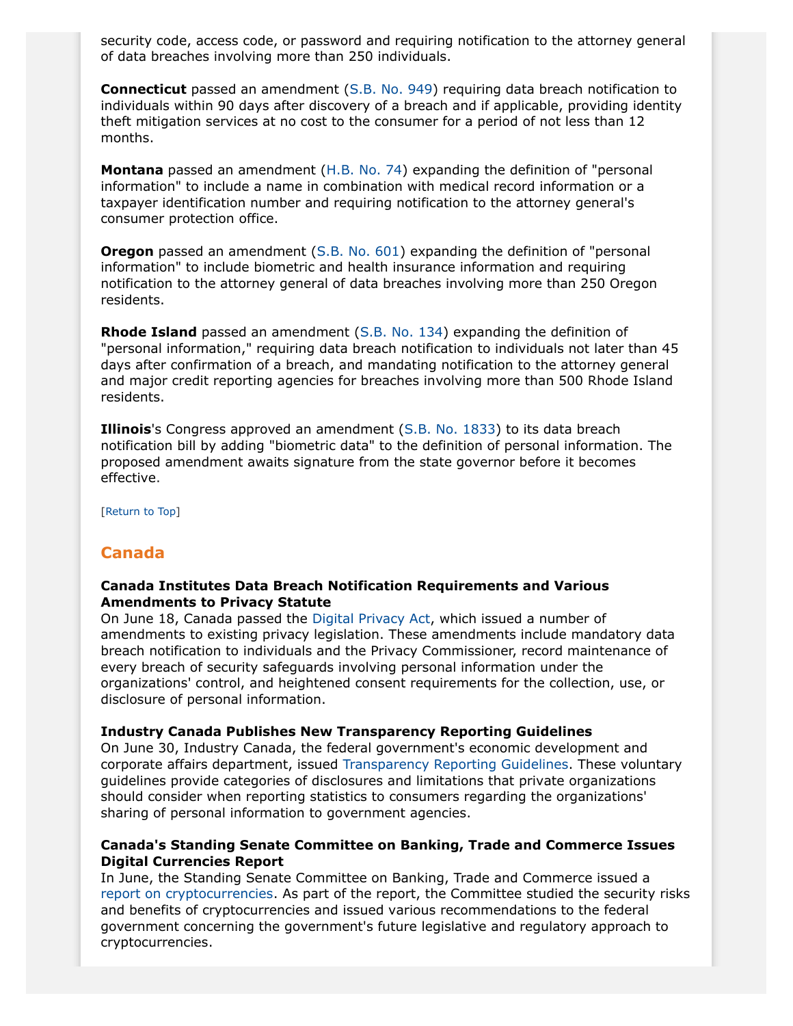security code, access code, or password and requiring notification to the attorney general of data breaches involving more than 250 individuals.

**Connecticut** passed an amendment ([S.B. No. 949](http://www.cga.ct.gov/2015/ACT/pa/pdf/2015PA-00142-R00SB-00949-PA.pdf)) requiring data breach notification to individuals within 90 days after discovery of a breach and if applicable, providing identity theft mitigation services at no cost to the consumer for a period of not less than 12 months.

**Montana** passed an amendment [\(H.B. No. 74\)](http://leg.mt.gov/bills/2015/hb0099/HB0074_3.pdf) expanding the definition of "personal information" to include a name in combination with medical record information or a taxpayer identification number and requiring notification to the attorney general's consumer protection office.

**Oregon** passed an amendment ([S.B. No. 601\)](https://olis.leg.state.or.us/liz/2015R1/Downloads/MeasureDocument/SB601) expanding the definition of "personal information" to include biometric and health insurance information and requiring notification to the attorney general of data breaches involving more than 250 Oregon residents.

**Rhode Island** passed an amendment [\(S.B. No. 134](http://webserver.rilin.state.ri.us/BillText/BillText15/SenateText15/S0134B.pdf)) expanding the definition of "personal information," requiring data breach notification to individuals not later than 45 days after confirmation of a breach, and mandating notification to the attorney general and major credit reporting agencies for breaches involving more than 500 Rhode Island residents.

**Illinois**'s Congress approved an amendment [\(S.B. No. 1833\)](http://www.ilga.gov/legislation/99/SB/PDF/09900SB1833lv.pdf) to its data breach notification bill by adding "biometric data" to the definition of personal information. The proposed amendment awaits signature from the state governor before it becomes effective.

[Return to Top]

## <span id="page-7-0"></span>**Canada**

#### **Canada Institutes Data Breach Notification Requirements and Various Amendments to Privacy Statute**

On June 18, Canada passed the [Digital Privacy Act](http://www.parl.gc.ca/HousePublications/Publication.aspx?Language=E&Mode=1&DocId=8057593&File=24#1), which issued a number of amendments to existing privacy legislation. These amendments include mandatory data breach notification to individuals and the Privacy Commissioner, record maintenance of every breach of security safeguards involving personal information under the organizations' control, and heightened consent requirements for the collection, use, or disclosure of personal information.

#### **Industry Canada Publishes New Transparency Reporting Guidelines**

On June 30, Industry Canada, the federal government's economic development and corporate affairs department, issued [Transparency Reporting Guidelines](http://www.ic.gc.ca/eic/site/smt-gst.nsf/eng/sf11057.html). These voluntary guidelines provide categories of disclosures and limitations that private organizations should consider when reporting statistics to consumers regarding the organizations' sharing of personal information to government agencies.

## **Canada's Standing Senate Committee on Banking, Trade and Commerce Issues Digital Currencies Report**

In June, the Standing Senate Committee on Banking, Trade and Commerce issued a [report on cryptocurrencies](http://www.parl.gc.ca/Content/SEN/Committee/412/banc/rep/rep12jun15-e.pdf). As part of the report, the Committee studied the security risks and benefits of cryptocurrencies and issued various recommendations to the federal government concerning the government's future legislative and regulatory approach to cryptocurrencies.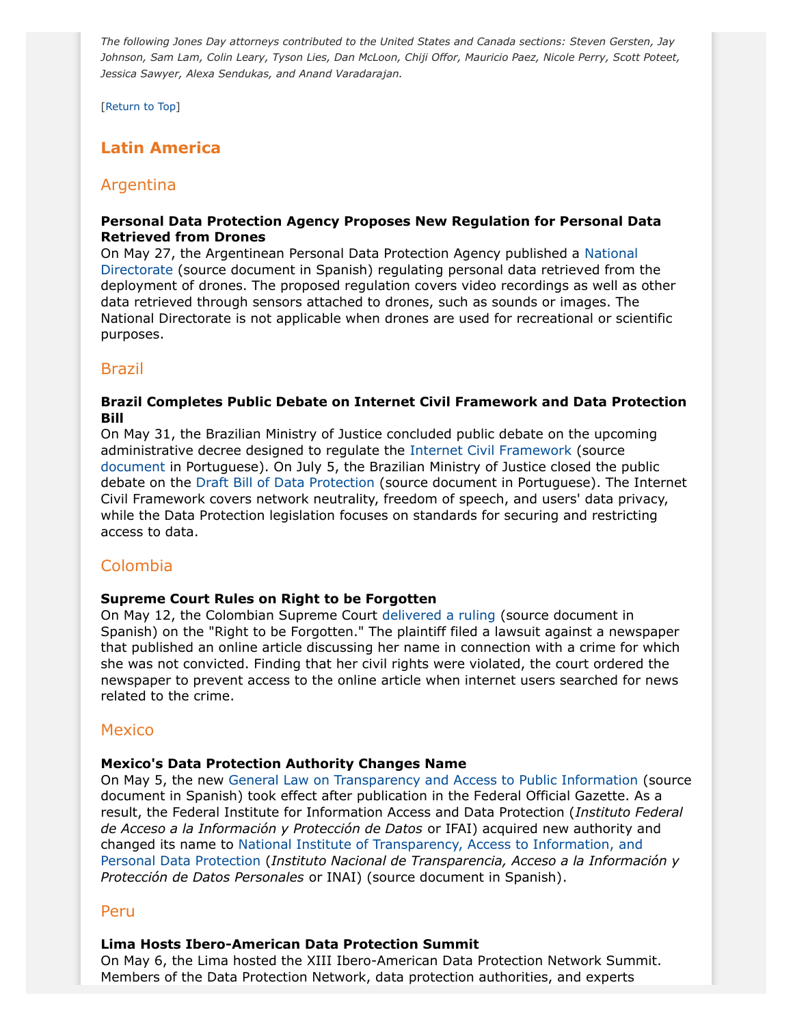*The following Jones Day attorneys contributed to the United States and Canada sections: Steven Gersten, Jay Johnson, Sam Lam, Colin Leary, Tyson Lies, Dan McLoon, Chiji Offor, Mauricio Paez, Nicole Perry, Scott Poteet, Jessica Sawyer, Alexa Sendukas, and Anand Varadarajan.*

[Return to Top]

# <span id="page-8-0"></span>**Latin America**

# Argentina

## **Personal Data Protection Agency Proposes New Regulation for Personal Data Retrieved from Drones**

On May 27, the Argentinean Personal Data Protection Agency published a [National](http://www.jus.gob.ar/media/2898655/disp_2015_20.pdf) [Directorate](http://www.jus.gob.ar/media/2898655/disp_2015_20.pdf) (source document in Spanish) regulating personal data retrieved from the deployment of drones. The proposed regulation covers video recordings as well as other data retrieved through sensors attached to drones, such as sounds or images. The National Directorate is not applicable when drones are used for recreational or scientific purposes.

## Brazil

## <span id="page-8-1"></span>**Brazil Completes Public Debate on Internet Civil Framework and Data Protection Bill**

On May 31, the Brazilian Ministry of Justice concluded public debate on the upcoming administrative decree designed to regulate the [Internet Civil Framework](http://participacao.mj.gov.br/marcocivil/lei-no-12-965-de-23-abril-de-2014/) (source [document](http://participacao.mj.gov.br/marcocivil/lei-no-12-965-de-23-abril-de-2014/) in Portuguese). On July 5, the Brazilian Ministry of Justice closed the public debate on the [Draft Bill of Data Protection](http://participacao.mj.gov.br/dadospessoais/wp-content/uploads/sites/3/2015/02/Anteprojeto_PDP.pdf) (source document in Portuguese). The Internet Civil Framework covers network neutrality, freedom of speech, and users' data privacy, while the Data Protection legislation focuses on standards for securing and restricting access to data.

## Colombia

## **Supreme Court Rules on Right to be Forgotten**

On May 12, the Colombian Supreme Court [delivered a ruling](http://www.dataprivacylaws.com.ar/wp-content/uploads/2015/07/TUTELA-EL-TIEMPO-1.pdf) (source document in Spanish) on the "Right to be Forgotten." The plaintiff filed a lawsuit against a newspaper that published an online article discussing her name in connection with a crime for which she was not convicted. Finding that her civil rights were violated, the court ordered the newspaper to prevent access to the online article when internet users searched for news related to the crime.

## **Mexico**

## **Mexico's Data Protection Authority Changes Name**

On May 5, the new [General Law on Transparency and Access to Public Information](http://www.diputados.gob.mx/LeyesBiblio/pdf/LGTAIP.pdf) (source document in Spanish) took effect after publication in the Federal Official Gazette. As a result, the Federal Institute for Information Access and Data Protection (*Instituto Federal de Acceso a la Información y Protección de Datos* or IFAI) acquired new authority and changed its name to [National Institute of Transparency, Access to Information, and](http://inicio.ifai.org.mx/Comunicados/Comunicado%20INAI-001-15.pdf) [Personal Data Protection](http://inicio.ifai.org.mx/Comunicados/Comunicado%20INAI-001-15.pdf) (*Instituto Nacional de Transparencia, Acceso a la Información y Protección de Datos Personales* or INAI) (source document in Spanish).

## Peru

#### **Lima Hosts Ibero-American Data Protection Summit**

On May 6, the Lima hosted the XIII Ibero-American Data Protection Network Summit. Members of the Data Protection Network, data protection authorities, and experts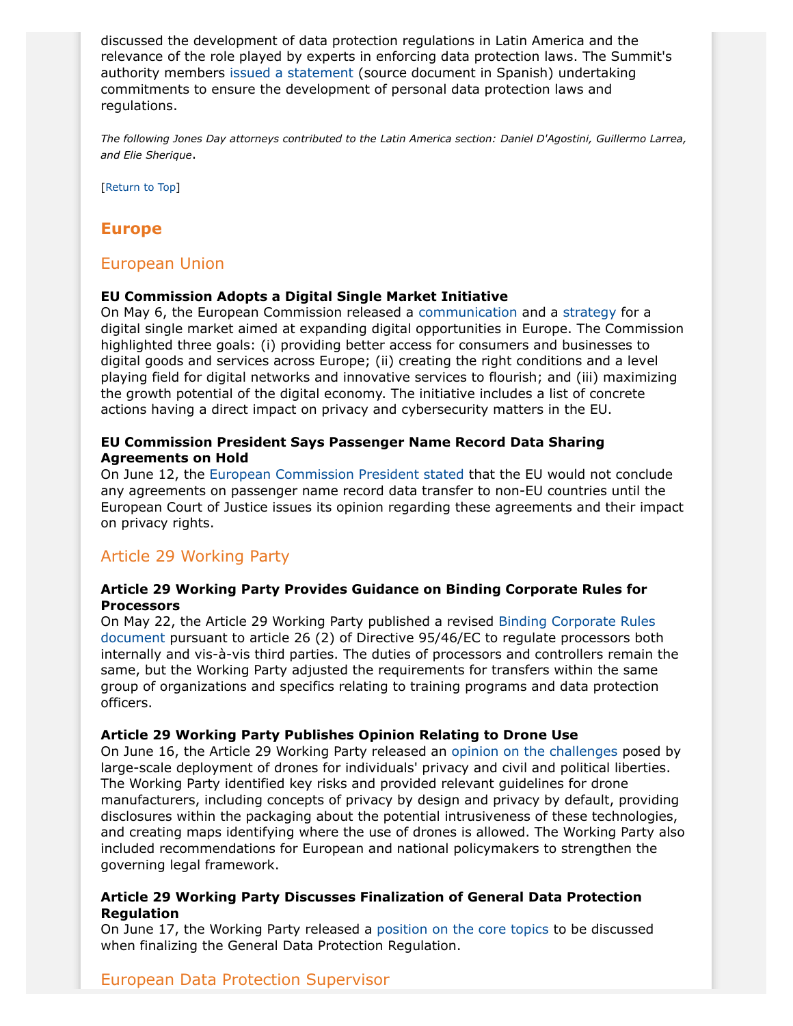discussed the development of data protection regulations in Latin America and the relevance of the role played by experts in enforcing data protection laws. The Summit's authority members [issued a statement](http://www.minjus.gob.pe/xiii-encuentro-iberoamericano/programa/DECLARACION-DE-LIMA-2015.pdf) (source document in Spanish) undertaking commitments to ensure the development of personal data protection laws and regulations.

*The following Jones Day attorneys contributed to the Latin America section: Daniel D'Agostini, Guillermo Larrea, and Elie Sherique*.

[Return to Top]

# <span id="page-9-0"></span>**Europe**

## European Union

#### **EU Commission Adopts a Digital Single Market Initiative**

On May 6, the European Commission released a [communication](http://ec.europa.eu/priorities/digital-single-market/docs/dsm-communication_en.pdf) and a [strategy](http://ec.europa.eu/priorities/digital-single-market/docs/dsm-swd_en.pdf) for a digital single market aimed at expanding digital opportunities in Europe. The Commission highlighted three goals: (i) providing better access for consumers and businesses to digital goods and services across Europe; (ii) creating the right conditions and a level playing field for digital networks and innovative services to flourish; and (iii) maximizing the growth potential of the digital economy. The initiative includes a list of concrete actions having a direct impact on privacy and cybersecurity matters in the EU.

## **EU Commission President Says Passenger Name Record Data Sharing Agreements on Hold**

On June 12, the [European Commission President stated](http://ec.europa.eu/dgs/home-affairs/what-we-do/policies/police-cooperation/passenger-name-record/index_en.htm) that the EU would not conclude any agreements on passenger name record data transfer to non-EU countries until the European Court of Justice issues its opinion regarding these agreements and their impact on privacy rights.

## Article 29 Working Party

#### **Article 29 Working Party Provides Guidance on Binding Corporate Rules for Processors**

On May 22, the Article 29 Working Party published a revised [Binding Corporate Rules](http://ec.europa.eu/justice/data-protection/article-29/documentation/opinion-recommendation/files/2015/wp204.rev_en.pdf) [document](http://ec.europa.eu/justice/data-protection/article-29/documentation/opinion-recommendation/files/2015/wp204.rev_en.pdf) pursuant to article 26 (2) of Directive 95/46/EC to regulate processors both internally and vis-à-vis third parties. The duties of processors and controllers remain the same, but the Working Party adjusted the requirements for transfers within the same group of organizations and specifics relating to training programs and data protection officers.

## <span id="page-9-1"></span>**Article 29 Working Party Publishes Opinion Relating to Drone Use**

On June 16, the Article 29 Working Party released an [opinion on the challenges](http://ec.europa.eu/justice/data-protection/article-29/documentation/opinion-recommendation/files/2015/wp231_en.pdf) posed by large-scale deployment of drones for individuals' privacy and civil and political liberties. The Working Party identified key risks and provided relevant guidelines for drone manufacturers, including concepts of privacy by design and privacy by default, providing disclosures within the packaging about the potential intrusiveness of these technologies, and creating maps identifying where the use of drones is allowed. The Working Party also included recommendations for European and national policymakers to strengthen the governing legal framework.

## **Article 29 Working Party Discusses Finalization of General Data Protection Regulation**

On June 17, the Working Party released a [position on the core topics](http://ec.europa.eu/justice/data-protection/article-29/documentation/other-document/files/2015/20150617_appendix_core_issues_plenary.pdf) to be discussed when finalizing the General Data Protection Regulation.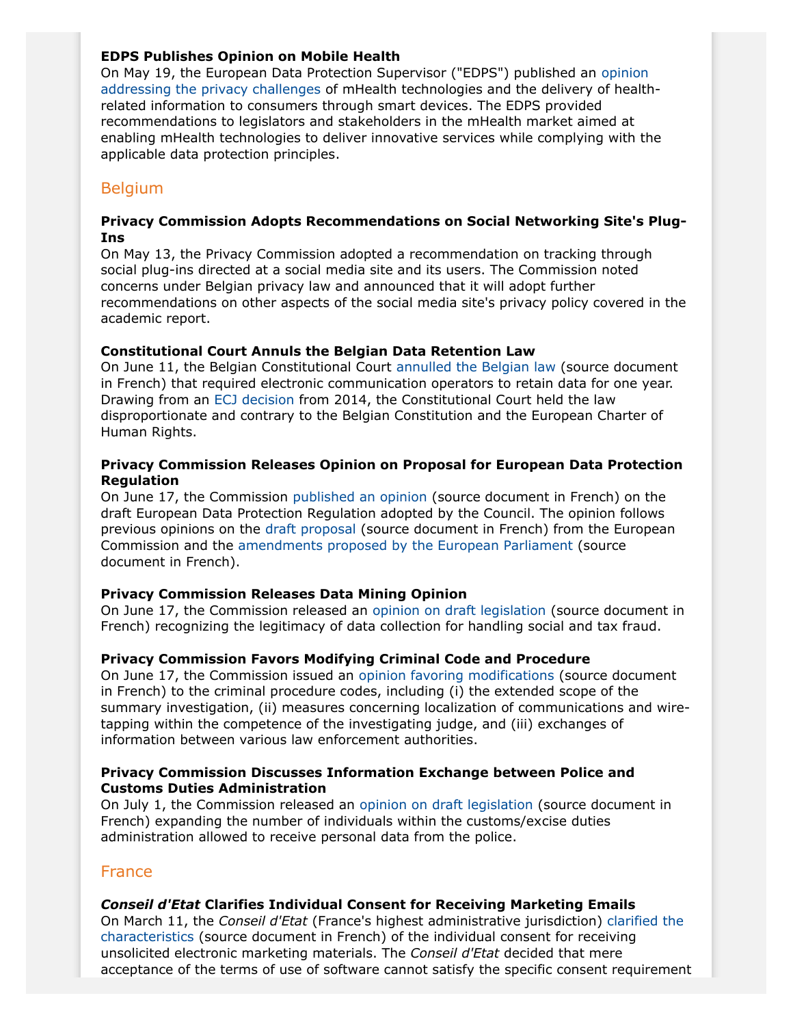## **EDPS Publishes Opinion on Mobile Health**

On May 19, the European Data Protection Supervisor ("EDPS") published an [opinion](https://secure.edps.europa.eu/EDPSWEB/webdav/site/mySite/shared/Documents/Consultation/Opinions/2015/15-05-21_Mhealth_EN.pdf) [addressing the privacy challenges](https://secure.edps.europa.eu/EDPSWEB/webdav/site/mySite/shared/Documents/Consultation/Opinions/2015/15-05-21_Mhealth_EN.pdf) of mHealth technologies and the delivery of healthrelated information to consumers through smart devices. The EDPS provided recommendations to legislators and stakeholders in the mHealth market aimed at enabling mHealth technologies to deliver innovative services while complying with the applicable data protection principles.

# **Belgium**

## **Privacy Commission Adopts Recommendations on Social Networking Site's Plug-Ins**

On May 13, the Privacy Commission adopted a recommendation on tracking through social plug-ins directed at a social media site and its users. The Commission noted concerns under Belgian privacy law and announced that it will adopt further recommendations on other aspects of the social media site's privacy policy covered in the academic report.

## **Constitutional Court Annuls the Belgian Data Retention Law**

On June 11, the Belgian Constitutional Court [annulled the Belgian law](http://www.const-court.be/public/f/2015/2015-084f.pdf) (source document in French) that required electronic communication operators to retain data for one year. Drawing from an [ECJ decision](http://curia.europa.eu/juris/document/document_print.jsf?doclang=EN&docid=150642) from 2014, the Constitutional Court held the law disproportionate and contrary to the Belgian Constitution and the European Charter of Human Rights.

## **Privacy Commission Releases Opinion on Proposal for European Data Protection Regulation**

On June 17, the Commission [published an opinion](http://www.privacycommission.be/sites/privacycommission/files/documents/avis_23_2015.pdf) (source document in French) on the draft European Data Protection Regulation adopted by the Council. The opinion follows previous opinions on the [draft proposal](http://www.privacycommission.be/sites/privacycommission/files/documents/avis_35_2012_0.pdf) (source document in French) from the European Commission and the [amendments proposed by the European Parliament](http://www.privacycommission.be/sites/privacycommission/files/documents/avis_10_2014.pdf) (source document in French).

## **Privacy Commission Releases Data Mining Opinion**

On June 17, the Commission released an [opinion on draft legislation](http://www.privacycommission.be/sites/privacycommission/files/documents/avis_24_2015.pdf) (source document in French) recognizing the legitimacy of data collection for handling social and tax fraud.

## **Privacy Commission Favors Modifying Criminal Code and Procedure**

On June 17, the Commission issued an [opinion favoring modifications](http://www.privacycommission.be/sites/privacycommission/files/documents/avis_21_2015.pdf) (source document in French) to the criminal procedure codes, including (i) the extended scope of the summary investigation, (ii) measures concerning localization of communications and wiretapping within the competence of the investigating judge, and (iii) exchanges of information between various law enforcement authorities.

## **Privacy Commission Discusses Information Exchange between Police and Customs Duties Administration**

On July 1, the Commission released an [opinion on draft legislation](http://www.privacycommission.be/sites/privacycommission/files/documents/avis_25_2015.pdf) (source document in French) expanding the number of individuals within the customs/excise duties administration allowed to receive personal data from the police.

## France

## *Conseil d'Etat* **Clarifies Individual Consent for Receiving Marketing Emails**

On March 11, the *Conseil d'Etat* (France's highest administrative jurisdiction) [clarified the](http://www.legifrance.gouv.fr/affichJuriAdmin.do?oldAction=rechJuriAdmin&idTexte=CETATEXT000030445581&fastReqId=644095900&fastPos=1) [characteristics](http://www.legifrance.gouv.fr/affichJuriAdmin.do?oldAction=rechJuriAdmin&idTexte=CETATEXT000030445581&fastReqId=644095900&fastPos=1) (source document in French) of the individual consent for receiving unsolicited electronic marketing materials. The *Conseil d'Etat* decided that mere acceptance of the terms of use of software cannot satisfy the specific consent requirement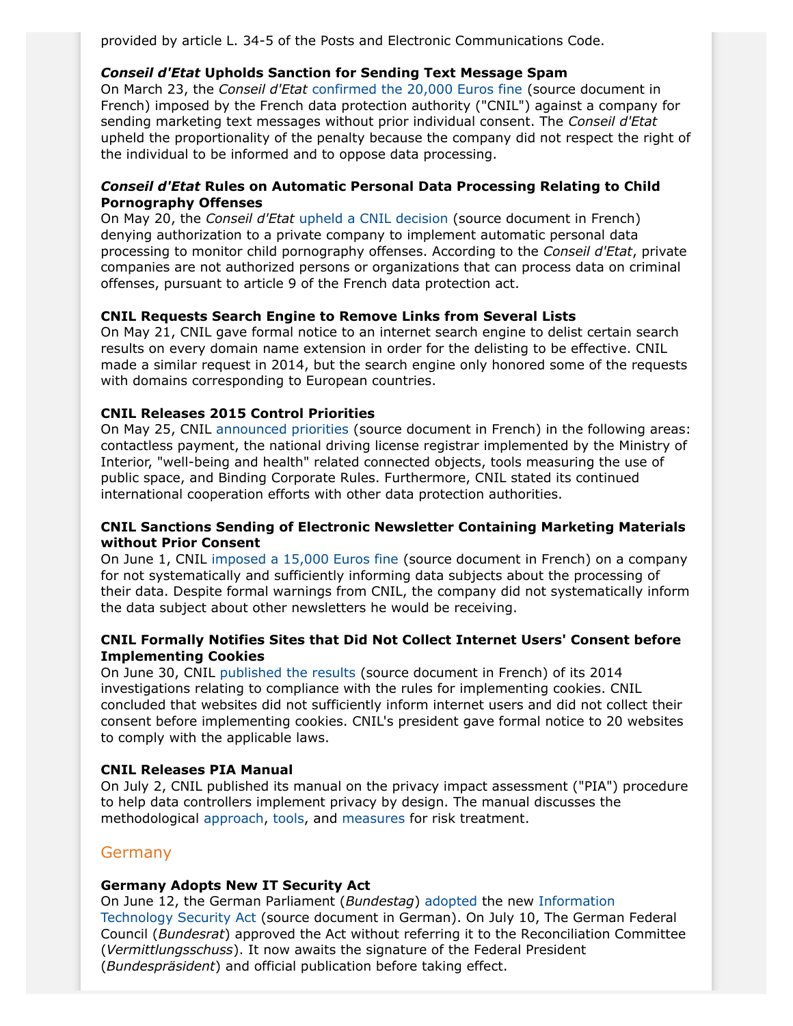provided by article L. 34-5 of the Posts and Electronic Communications Code.

## *Conseil d'Etat* **Upholds Sanction for Sending Text Message Spam**

On March 23, the *Conseil d'Etat* [confirmed the 20,000 Euros fine](http://www.legifrance.gouv.fr/affichJuriAdmin.do?oldAction=rechJuriAdmin&idTexte=CETATEXT000030445532&fastReqId=595012980&fastPos=1) (source document in French) imposed by the French data protection authority ("CNIL") against a company for sending marketing text messages without prior individual consent. The *Conseil d'Etat* upheld the proportionality of the penalty because the company did not respect the right of the individual to be informed and to oppose data processing.

## *Conseil d'Etat* **Rules on Automatic Personal Data Processing Relating to Child Pornography Offenses**

On May 20, the *Conseil d'Etat* [upheld a CNIL decision](http://www.legifrance.gouv.fr/affichJuriAdmin.do?oldAction=rechJuriAdmin&idTexte=CETATEXT000030580653&fastReqId=17351683&fastPos=1) (source document in French) denying authorization to a private company to implement automatic personal data processing to monitor child pornography offenses. According to the *Conseil d'Etat*, private companies are not authorized persons or organizations that can process data on criminal offenses, pursuant to article 9 of the French data protection act.

## **CNIL Requests Search Engine to Remove Links from Several Lists**

On May 21, CNIL gave formal notice to an internet search engine to delist certain search results on every domain name extension in order for the delisting to be effective. CNIL made a similar request in 2014, but the search engine only honored some of the requests with domains corresponding to European countries.

## **CNIL Releases 2015 Control Priorities**

On May 25, CNIL [announced priorities](http://www.cnil.fr/linstitution/actualite/article/article/programme-des-controles-2015/) (source document in French) in the following areas: contactless payment, the national driving license registrar implemented by the Ministry of Interior, "well-being and health" related connected objects, tools measuring the use of public space, and Binding Corporate Rules. Furthermore, CNIL stated its continued international cooperation efforts with other data protection authorities.

## **CNIL Sanctions Sending of Electronic Newsletter Containing Marketing Materials without Prior Consent**

On June 1, CNIL [imposed a 15,000 Euros fine](http://www.cnil.fr/fileadmin/documents/approfondir/deliberations/Formation_contentieuse/D2015-155_sanction_PRISMA_MEDIA.pdf.pdf) (source document in French) on a company for not systematically and sufficiently informing data subjects about the processing of their data. Despite formal warnings from CNIL, the company did not systematically inform the data subject about other newsletters he would be receiving.

## **CNIL Formally Notifies Sites that Did Not Collect Internet Users' Consent before Implementing Cookies**

On June 30, CNIL [published the results](http://www.cnil.fr/linstitution/actualite/article/article/cookies-et-autres-traceurs-premier-bilan-des-controles/) (source document in French) of its 2014 investigations relating to compliance with the rules for implementing cookies. CNIL concluded that websites did not sufficiently inform internet users and did not collect their consent before implementing cookies. CNIL's president gave formal notice to 20 websites to comply with the applicable laws.

## **CNIL Releases PIA Manual**

On July 2, CNIL published its manual on the privacy impact assessment ("PIA") procedure to help data controllers implement privacy by design. The manual discusses the methodological [approach,](http://www.cnil.fr/fileadmin/documents/en/CNIL-PIA-1-Methodology-EN.pdf) [tools,](http://www.cnil.fr/fileadmin/documents/en/CNIL-PIA-2-Tools-EN.pdf) and [measures](http://www.cnil.fr/fileadmin/documents/en/CNIL-PIA-3-GoodPractices.pdf) for risk treatment.

## **Germany**

## **Germany Adopts New IT Security Act**

On June 12, the German Parliament (*Bundestag*) [adopted](http://www.jonesday.com/germany-rushes-to-adopt-a-new-it-security-act-07-21-2015) the new [Information](http://dip21.bundestag.de/dip21/btd/18/051/1805121.pdf) [Technology Security Act](http://dip21.bundestag.de/dip21/btd/18/051/1805121.pdf) (source document in German). On July 10, The German Federal Council (*Bundesrat*) approved the Act without referring it to the Reconciliation Committee (*Vermittlungsschuss*). It now awaits the signature of the Federal President (*Bundespräsident*) and official publication before taking effect.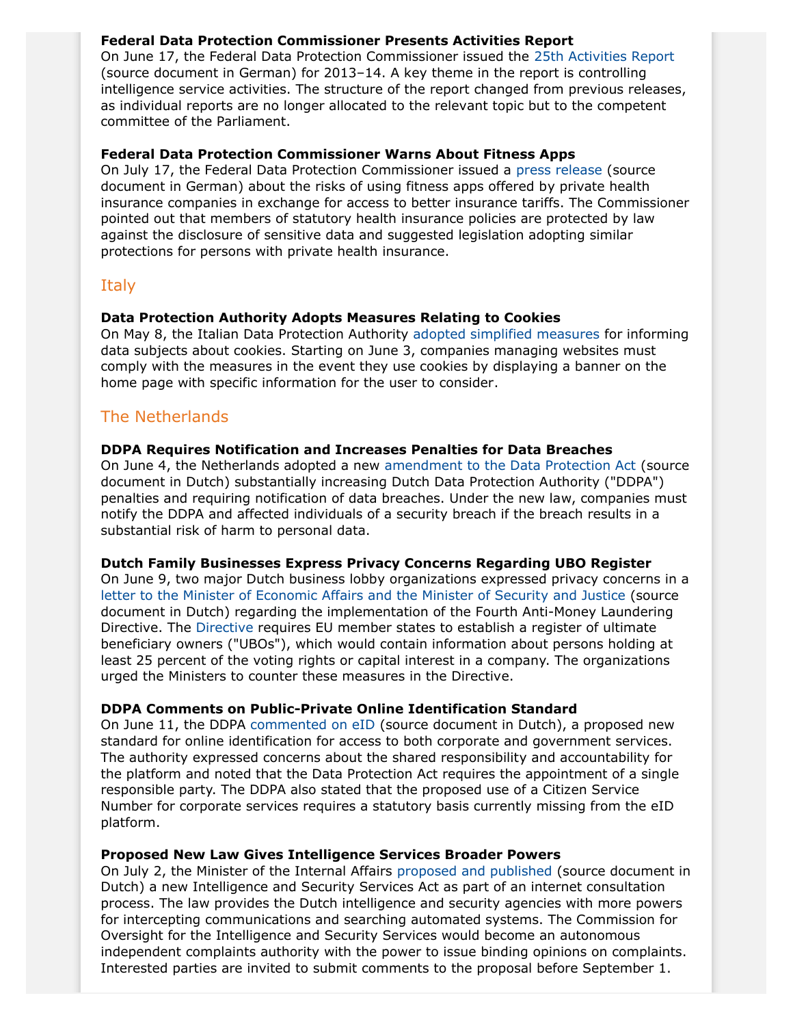## **Federal Data Protection Commissioner Presents Activities Report**

On June 17, the Federal Data Protection Commissioner issued the [25th Activities Report](http://www.bfdi.bund.de/SharedDocs/Publikationen/Taetigkeitsberichte/TB_BfDI/25TB_13_14.pdf?__blob=publicationFile&v=10) (source document in German) for 2013–14. A key theme in the report is controlling intelligence service activities. The structure of the report changed from previous releases, as individual reports are no longer allocated to the relevant topic but to the competent committee of the Parliament.

## **Federal Data Protection Commissioner Warns About Fitness Apps**

On July 17, the Federal Data Protection Commissioner issued a [press release](http://www.bfdi.bund.de/DE/Infothek/Pressemitteilungen/2015/18_WarnungVorFitnessapps.html?nn=5217040) (source document in German) about the risks of using fitness apps offered by private health insurance companies in exchange for access to better insurance tariffs. The Commissioner pointed out that members of statutory health insurance policies are protected by law against the disclosure of sensitive data and suggested legislation adopting similar protections for persons with private health insurance.

# Italy

## **Data Protection Authority Adopts Measures Relating to Cookies**

On May 8, the Italian Data Protection Authority [adopted simplified measures](http://www.garanteprivacy.it/web/guest/home/docweb/-/docweb-display/docweb/3167654) for informing data subjects about cookies. Starting on June 3, companies managing websites must comply with the measures in the event they use cookies by displaying a banner on the home page with specific information for the user to consider.

# The Netherlands

## **DDPA Requires Notification and Increases Penalties for Data Breaches**

On June 4, the Netherlands adopted a new [amendment to the Data Protection Act](https://zoek.officielebekendmakingen.nl/stb-2015-230.html) (source document in Dutch) substantially increasing Dutch Data Protection Authority ("DDPA") penalties and requiring notification of data breaches. Under the new law, companies must notify the DDPA and affected individuals of a security breach if the breach results in a substantial risk of harm to personal data.

## **Dutch Family Businesses Express Privacy Concerns Regarding UBO Register**

On June 9, two major Dutch business lobby organizations expressed privacy concerns in a [letter to the Minister of Economic Affairs and the Minister of Security and Justice](http://www.vno-ncw.nl/SiteCollectionDocuments/Brieven/150609%20brief%20aan%20Kamp%20EZ%20-%20implementatie%204e%20anti%20witwas%20richtlijn%20(3).pdf) (source document in Dutch) regarding the implementation of the Fourth Anti-Money Laundering Directive. The [Directive](http://eur-lex.europa.eu/legal-content/EN/TXT/?uri=CELEX:32015L0849) requires EU member states to establish a register of ultimate beneficiary owners ("UBOs"), which would contain information about persons holding at least 25 percent of the voting rights or capital interest in a company. The organizations urged the Ministers to counter these measures in the Directive.

## **DDPA Comments on Public-Private Online Identification Standard**

On June 11, the DDPA [commented on eID](https://cbpweb.nl/nl/nieuws/cbp-maakt-eerste-analyse-van-eid-stelsel) (source document in Dutch), a proposed new standard for online identification for access to both corporate and government services. The authority expressed concerns about the shared responsibility and accountability for the platform and noted that the Data Protection Act requires the appointment of a single responsible party. The DDPA also stated that the proposed use of a Citizen Service Number for corporate services requires a statutory basis currently missing from the eID platform.

## **Proposed New Law Gives Intelligence Services Broader Powers**

On July 2, the Minister of the Internal Affairs [proposed and published](https://www.internetconsultatie.nl/wiv) (source document in Dutch) a new Intelligence and Security Services Act as part of an internet consultation process. The law provides the Dutch intelligence and security agencies with more powers for intercepting communications and searching automated systems. The Commission for Oversight for the Intelligence and Security Services would become an autonomous independent complaints authority with the power to issue binding opinions on complaints. Interested parties are invited to submit comments to the proposal before September 1.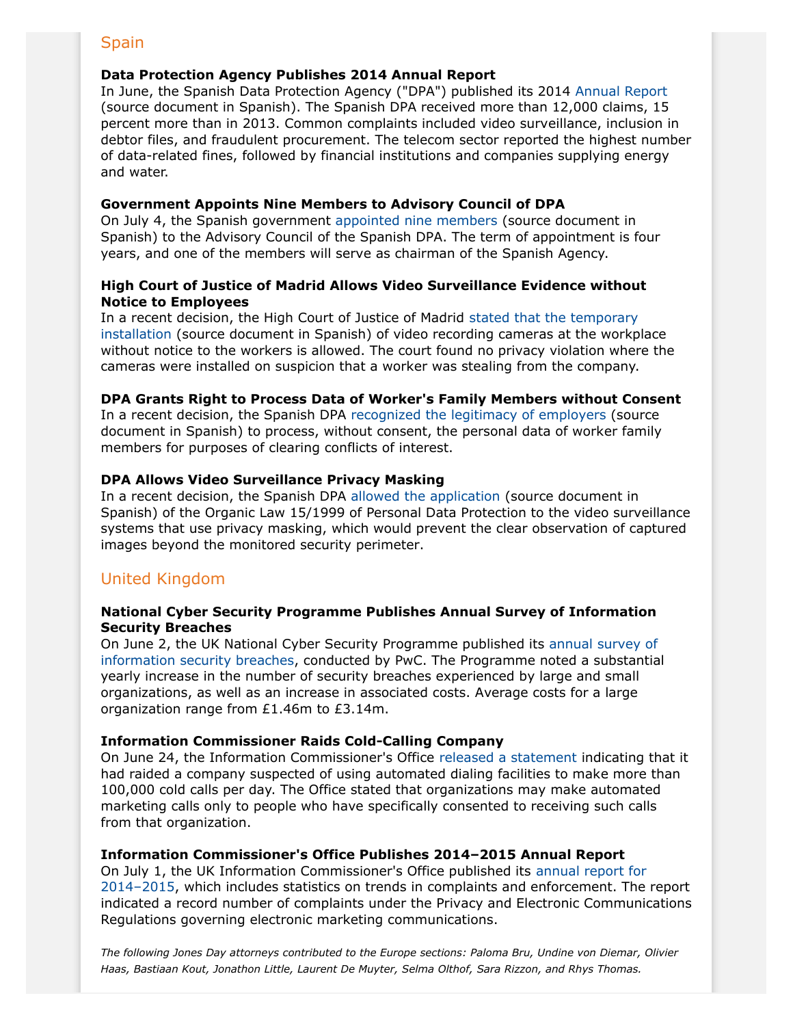# **Spain**

## **Data Protection Agency Publishes 2014 Annual Report**

In June, the Spanish Data Protection Agency ("DPA") published its 2014 [Annual Report](https://www.agpd.es/portalwebAGPD/LaAgencia/informacion_institucional/common/memorias/2014/Memoria_AEPD_2014.pdf) (source document in Spanish). The Spanish DPA received more than 12,000 claims, 15 percent more than in 2013. Common complaints included video surveillance, inclusion in debtor files, and fraudulent procurement. The telecom sector reported the highest number of data-related fines, followed by financial institutions and companies supplying energy and water.

## **Government Appoints Nine Members to Advisory Council of DPA**

On July 4, the Spanish government [appointed nine members](http://www.boe.es/buscar/doc.php?id=BOE-A-2015-7465) (source document in Spanish) to the Advisory Council of the Spanish DPA. The term of appointment is four years, and one of the members will serve as chairman of the Spanish Agency.

## **High Court of Justice of Madrid Allows Video Surveillance Evidence without Notice to Employees**

In a recent decision, the High Court of Justice of Madrid [stated that the temporary](http://www.poderjudicial.es/search/doAction?action=contentpdf&databasematch=AN&reference=7315652&links=&optimize=20150306&publicinterface=true) [installation](http://www.poderjudicial.es/search/doAction?action=contentpdf&databasematch=AN&reference=7315652&links=&optimize=20150306&publicinterface=true) (source document in Spanish) of video recording cameras at the workplace without notice to the workers is allowed. The court found no privacy violation where the cameras were installed on suspicion that a worker was stealing from the company.

## **DPA Grants Right to Process Data of Worker's Family Members without Consent**

In a recent decision, the Spanish DPA [recognized the legitimacy of employers](http://www.agpd.es/portalwebAGPD/resoluciones/archivo_actuaciones/archivo_actuaciones_2015/common/pdfs/E-04485-2014_Resolucion-de-fecha-26-05-2015_Art-ii-culo-4.2-5.2-LOPD.pdf) (source document in Spanish) to process, without consent, the personal data of worker family members for purposes of clearing conflicts of interest.

## **DPA Allows Video Surveillance Privacy Masking**

In a recent decision, the Spanish DPA [allowed the application](http://www.agpd.es/portalwebAGPD/resoluciones/archivo_actuaciones/archivo_actuaciones_2015/common/pdfs/E-00678-2015_Resolucion-de-fecha-20-03-2015_Art-ii-culo-6.1-LOPD.pdf) (source document in Spanish) of the Organic Law 15/1999 of Personal Data Protection to the video surveillance systems that use privacy masking, which would prevent the clear observation of captured images beyond the monitored security perimeter.

# United Kingdom

## **National Cyber Security Programme Publishes Annual Survey of Information Security Breaches**

On June 2, the UK National Cyber Security Programme published its [annual survey of](http://www.pwc.co.uk/assets/pdf/2015-isbs-technical-report-blue-03.pdf) [information security breaches](http://www.pwc.co.uk/assets/pdf/2015-isbs-technical-report-blue-03.pdf), conducted by PwC. The Programme noted a substantial yearly increase in the number of security breaches experienced by large and small organizations, as well as an increase in associated costs. Average costs for a large organization range from £1.46m to £3.14m.

## **Information Commissioner Raids Cold-Calling Company**

On June 24, the Information Commissioner's Office [released a statement](https://ico.org.uk/about-the-ico/news-and-events/news-and-blogs/2015/06/ico-raids-company-believed-to-be-behind-millions-of-recorded-nuisance-calls/) indicating that it had raided a company suspected of using automated dialing facilities to make more than 100,000 cold calls per day. The Office stated that organizations may make automated marketing calls only to people who have specifically consented to receiving such calls from that organization.

## **Information Commissioner's Office Publishes 2014–2015 Annual Report**

On July 1, the UK Information Commissioner's Office published its [annual report for](https://ico.org.uk/media/about-the-ico/documents/1431982/annual-report-2014-15.pdf) [2014–2015](https://ico.org.uk/media/about-the-ico/documents/1431982/annual-report-2014-15.pdf), which includes statistics on trends in complaints and enforcement. The report indicated a record number of complaints under the Privacy and Electronic Communications Regulations governing electronic marketing communications.

*The following Jones Day attorneys contributed to the Europe sections: Paloma Bru, Undine von Diemar, Olivier Haas, Bastiaan Kout, Jonathon Little, Laurent De Muyter, Selma Olthof, Sara Rizzon, and Rhys Thomas.*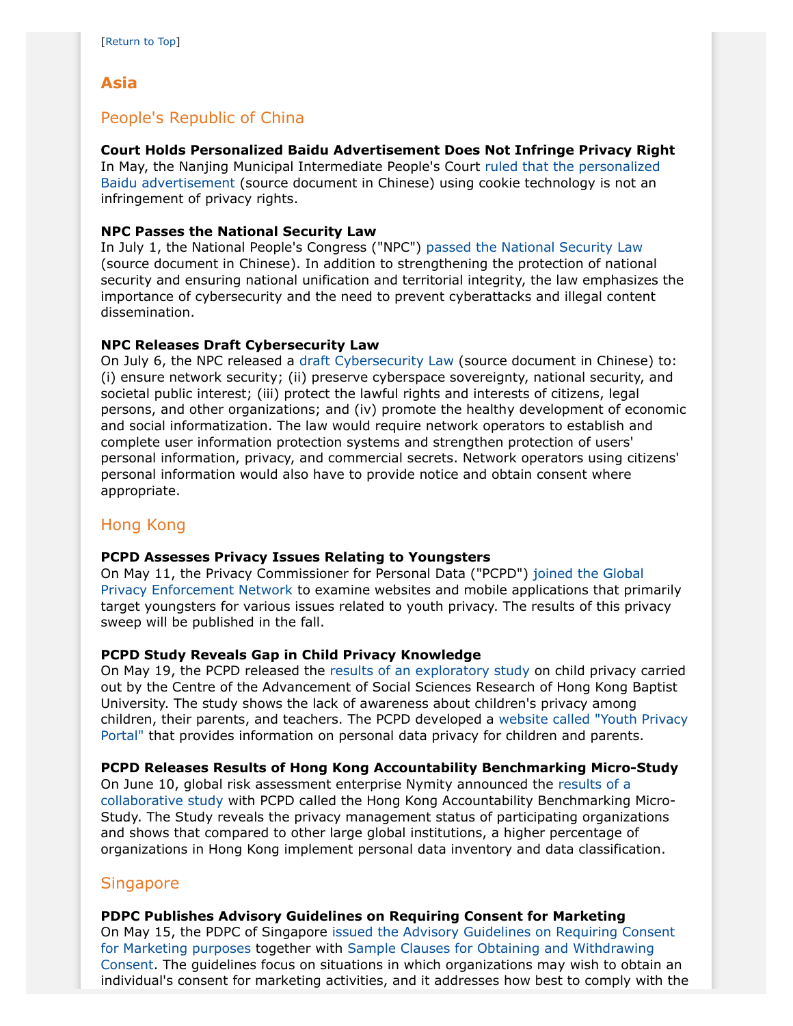# <span id="page-14-0"></span>**Asia**

# People's Republic of China

## **Court Holds Personalized Baidu Advertisement Does Not Infringe Privacy Right**

In May, the Nanjing Municipal Intermediate People's Court [ruled that the personalized](http://www.legaldaily.com.cn/legal_case/content/2015-07/01/content_6149799.htm?node=33810.) [Baidu advertisement](http://www.legaldaily.com.cn/legal_case/content/2015-07/01/content_6149799.htm?node=33810.) (source document in Chinese) using cookie technology is not an infringement of privacy rights.

## **NPC Passes the National Security Law**

In July 1, the National People's Congress ("NPC") [passed the National Security Law](http://www.npc.gov.cn/npc/xinwen/lfgz/flca/2015-05/06/content_1935766.htm) (source document in Chinese). In addition to strengthening the protection of national security and ensuring national unification and territorial integrity, the law emphasizes the importance of cybersecurity and the need to prevent cyberattacks and illegal content dissemination.

## <span id="page-14-1"></span>**NPC Releases Draft Cybersecurity Law**

On July 6, the NPC released a [draft Cybersecurity Law](http://chinalawtranslate.com/cybersecuritydraft/?lang=en) (source document in Chinese) to: (i) ensure network security; (ii) preserve cyberspace sovereignty, national security, and societal public interest; (iii) protect the lawful rights and interests of citizens, legal persons, and other organizations; and (iv) promote the healthy development of economic and social informatization. The law would require network operators to establish and complete user information protection systems and strengthen protection of users' personal information, privacy, and commercial secrets. Network operators using citizens' personal information would also have to provide notice and obtain consent where appropriate.

# Hong Kong

## **PCPD Assesses Privacy Issues Relating to Youngsters**

On May 11, the Privacy Commissioner for Personal Data ("PCPD") [joined the Global](https://www.pcpd.org.hk/english/news_events/media_statements/press_20150511.html) [Privacy Enforcement Network](https://www.pcpd.org.hk/english/news_events/media_statements/press_20150511.html) to examine websites and mobile applications that primarily target youngsters for various issues related to youth privacy. The results of this privacy sweep will be published in the fall.

## **PCPD Study Reveals Gap in Child Privacy Knowledge**

On May 19, the PCPD released the [results of an exploratory study](https://www.pcpd.org.hk/english/resources_centre/publications/surveys/files/child_survey_e.pdf) on child privacy carried out by the Centre of the Advancement of Social Sciences Research of Hong Kong Baptist University. The study shows the lack of awareness about children's privacy among children, their parents, and teachers. The PCPD developed a [website called "Youth Privacy](https://www.pcpd.org.hk/youthprivacy/) [Portal"](https://www.pcpd.org.hk/youthprivacy/) that provides information on personal data privacy for children and parents.

## **PCPD Releases Results of Hong Kong Accountability Benchmarking Micro-Study**

On June 10, global risk assessment enterprise Nymity announced the [results of a](http://www.nymity.com/data-privacy-resources/data-privacy-research/privacy-management-benchmarking-report.aspx) [collaborative study](http://www.nymity.com/data-privacy-resources/data-privacy-research/privacy-management-benchmarking-report.aspx) with PCPD called the Hong Kong Accountability Benchmarking Micro-Study. The Study reveals the privacy management status of participating organizations and shows that compared to other large global institutions, a higher percentage of organizations in Hong Kong implement personal data inventory and data classification.

## **Singapore**

## **PDPC Publishes Advisory Guidelines on Requiring Consent for Marketing**

On May 15, the PDPC of Singapore [issued the Advisory Guidelines on Requiring Consent](http://www.pdpc.gov.sg/docs/default-source/advisory-guidelines-on-consent-for-mktg/advisory-guidelines-on-requiring-consent-for-marketing-(8-may-2015).pdf?sfvrsn=2) [for Marketing purposes](http://www.pdpc.gov.sg/docs/default-source/advisory-guidelines-on-consent-for-mktg/advisory-guidelines-on-requiring-consent-for-marketing-(8-may-2015).pdf?sfvrsn=2) together with [Sample Clauses for Obtaining and Withdrawing](http://www.pdpc.gov.sg/docs/default-source/Templates/sample-clauses-for-obtaining-and-withdrawing-consent-(8-may-2015).pdf?sfvrsn=2) [Consent.](http://www.pdpc.gov.sg/docs/default-source/Templates/sample-clauses-for-obtaining-and-withdrawing-consent-(8-may-2015).pdf?sfvrsn=2) The guidelines focus on situations in which organizations may wish to obtain an individual's consent for marketing activities, and it addresses how best to comply with the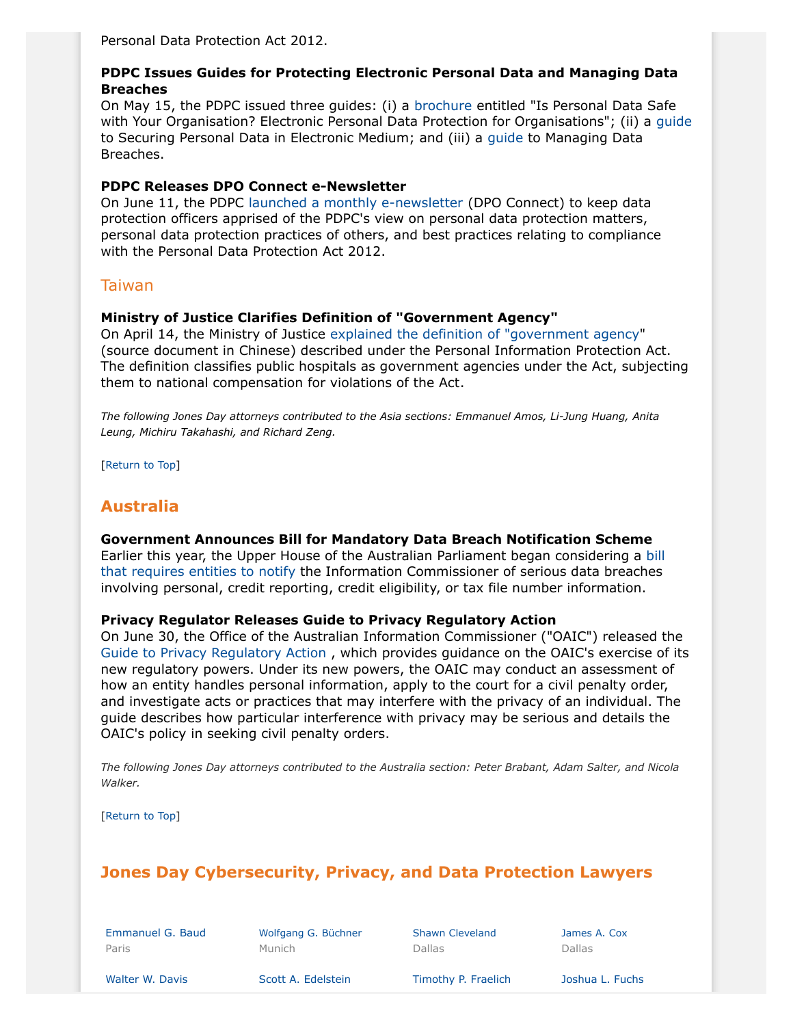Personal Data Protection Act 2012.

## **PDPC Issues Guides for Protecting Electronic Personal Data and Managing Data Breaches**

On May 15, the PDPC issued three guides: (i) a [brochure](http://www.pdpc.gov.sg/docs/default-source/publications-edu-materials/is-personal-data-safe-with-your-organisation-v1-0.pdf?sfvrsn=2) entitled "Is Personal Data Safe with Your Organisation? Electronic Personal Data Protection for Organisations"; (ii) a [guide](http://www.pdpc.gov.sg/docs/default-source/publications-edu-materials/guide-to-securing-personal-data-in-electronic-medium-v1-0-(080515).pdf?sfvrsn=4) to Securing Personal Data in Electronic Medium; and (iii) a [guide](http://www.pdpc.gov.sg/docs/default-source/publications-edu-materials/guide-to-managing-data-breaches-v1-0-(080515).pdf?sfvrsn=2) to Managing Data Breaches.

## **PDPC Releases DPO Connect e-Newsletter**

On June 11, the PDPC [launched a monthly e-newsletter](http://www.pdpc.gov.sg/resources/dpo-connect) (DPO Connect) to keep data protection officers apprised of the PDPC's view on personal data protection matters, personal data protection practices of others, and best practices relating to compliance with the Personal Data Protection Act 2012.

## Taiwan

## **Ministry of Justice Clarifies Definition of "Government Agency"**

On April 14, the Ministry of Justice [explained the definition of "government agency](http://pipa.moj.gov.tw/cp.asp?xItem=1424&ctNode=379&mp=1)" (source document in Chinese) described under the Personal Information Protection Act. The definition classifies public hospitals as government agencies under the Act, subjecting them to national compensation for violations of the Act.

*The following Jones Day attorneys contributed to the Asia sections: Emmanuel Amos, Li-Jung Huang, Anita Leung, Michiru Takahashi, and Richard Zeng.*

[Return to Top]

## <span id="page-15-0"></span>**Australia**

#### **Government Announces Bill for Mandatory Data Breach Notification Scheme**

Earlier this year, the Upper House of the Australian Parliament began considering a [bill](http://www.aph.gov.au/Parliamentary_Business/Bills_Legislation/Bills_Search_Results/Result?bId=s958) [that requires entities to notify](http://www.aph.gov.au/Parliamentary_Business/Bills_Legislation/Bills_Search_Results/Result?bId=s958) the Information Commissioner of serious data breaches involving personal, credit reporting, credit eligibility, or tax file number information.

#### <span id="page-15-2"></span>**Privacy Regulator Releases Guide to Privacy Regulatory Action**

On June 30, the Office of the Australian Information Commissioner ("OAIC") released the [Guide to Privacy Regulatory Action](http://www.oaic.gov.au/images/documents/about-us/our-regulatory-approach/guide-to-oaic-s-privacy-regulatory-action/oaic-regulatory-action-guide.pdf) , which provides guidance on the OAIC's exercise of its new regulatory powers. Under its new powers, the OAIC may conduct an assessment of how an entity handles personal information, apply to the court for a civil penalty order, and investigate acts or practices that may interfere with the privacy of an individual. The guide describes how particular interference with privacy may be serious and details the OAIC's policy in seeking civil penalty orders.

*The following Jones Day attorneys contributed to the Australia section: Peter Brabant, Adam Salter, and Nicola Walker.*

[Return to Top]

# <span id="page-15-1"></span>**Jones Day Cybersecurity, Privacy, and Data Protection Lawyers**

[Emmanuel G. Baud](http://www.jonesday.com/ebaud) Paris

[Wolfgang G. Büchner](http://www.jonesday.com/wbuechner) Munich

[Shawn Cleveland](http://www.jonesday.com/scleveland) Dallas

[James A. Cox](http://www.jonesday.com/jacox) Dallas

[Walter W. Davis](http://www.jonesday.com/wwdavis) **[Scott A. Edelstein](http://www.jonesday.com/sedelstein)** [Timothy P. Fraelich](http://www.jonesday.com/tfraelich) [Joshua L. Fuchs](http://www.jonesday.com/jlfuchs)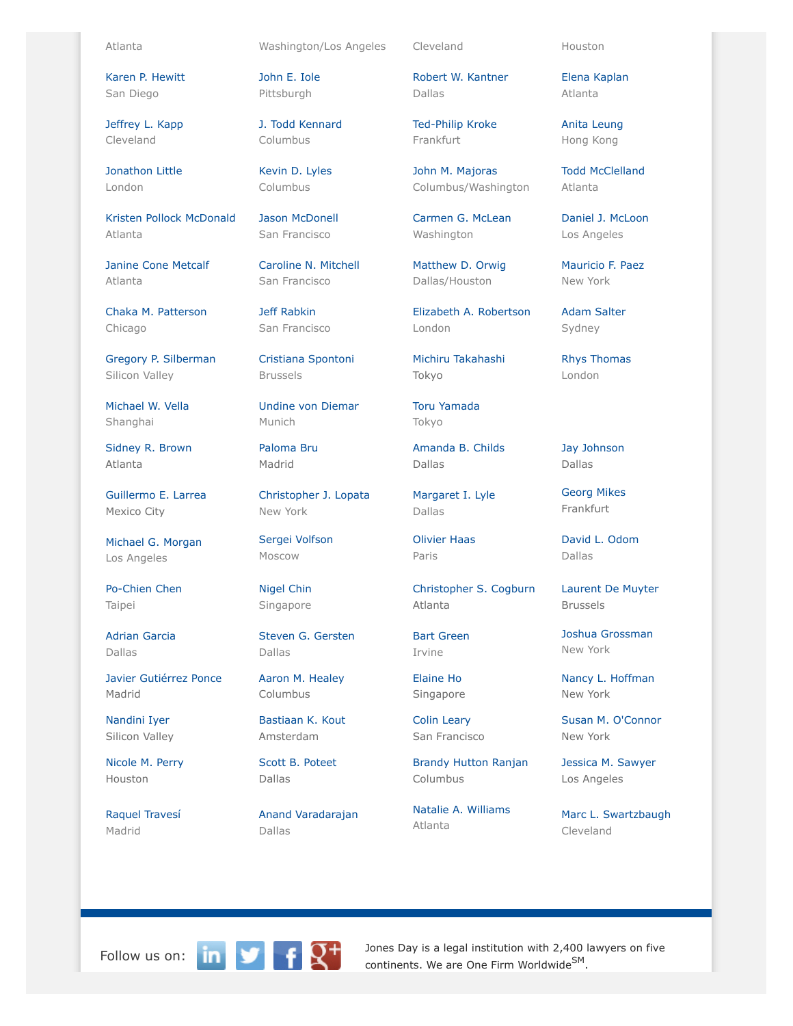[Karen P. Hewitt](http://www.jonesday.com/kphewitt) San Diego

[Jeffrey L. Kapp](http://www.jonesday.com/jlkapp) Cleveland

[Jonathon Little](http://www.jonesday.com/jrlittle) London

[Kristen Pollock McDonald](http://www.jonesday.com/kmcdonald) Atlanta

[Janine Cone Metcalf](http://www.jonesday.com/jmetcalf) Atlanta

[Chaka M. Patterson](http://www.jonesday.com/cpatterson) Chicago

[Gregory P. Silberman](http://www.jonesday.com/gpsilberman) Silicon Valley

[Michael W. Vella](http://www.jonesday.com/mvella) Shanghai

[Sidney R. Brown](http://www.jonesday.com/srbrown) Atlanta

[Guillermo E. Larrea](http://www.jonesday.com/glarrea) Mexico City

[Michael G. Morgan](http://www.jonesday.com/mgmorgan) Los Angeles

[Po-Chien Chen](http://www.jonesday.com/pochienchen) Taipei

[Adrian Garcia](http://www.jonesday.com/agarcia) Dallas

[Javier Gutiérrez Ponce](http://www.jonesday.com/javiergutierrez) Madrid

[Nandini Iyer](http://www.jonesday.com/niyer) Silicon Valley

[Nicole M. Perry](http://www.jonesday.com/nmperry) Houston

[Raquel Travesí](http://www.jonesday.com/rtravesi) Madrid

Atlanta Washington/Los Angeles Cleveland Houston

[John E. Iole](http://www.jonesday.com/jeiole/) Pittsburgh

[J. Todd Kennard](http://www.jonesday.com/jtkennard) Columbus

[Kevin D. Lyles](http://www.jonesday.com/kdlyles) Columbus

[Jason McDonell](http://www.jonesday.com/jmcdonell) San Francisco

[Caroline N. Mitchell](http://www.jonesday.com/cnmitchell) San Francisco

[Jeff Rabkin](http://www.jonesday.com/jrabkin) San Francisco

[Cristiana Spontoni](http://www.jonesday.com/cspontoni) Brussels

[Undine von Diemar](http://www.jonesday.com/uvondiemar) Munich

[Paloma Bru](http://www.jonesday.com/pbru) Madrid

[Christopher J. Lopata](http://www.jonesday.com/cjlopata) New York

[Sergei Volfson](http://www.jonesday.com/svolfson) Moscow

[Nigel Chin](http://www.jonesday.com/nchin) Singapore

[Steven G. Gersten](http://www.jonesday.com/sgersten) Dallas

[Aaron M. Healey](http://www.jonesday.com/ahealey) Columbus

[Bastiaan K. Kout](http://www.jonesday.com/bkout) Amsterdam

[Scott B. Poteet](http://www.jonesday.com/spoteet) Dallas

[Anand Varadarajan](http://www.jonesday.com/avaradarajan) Dallas

[Robert W. Kantner](http://www.jonesday.com/rwkantner) Dallas

[Ted-Philip Kroke](http://www.jonesday.com/tkroke) Frankfurt

[John M. Majoras](http://www.jonesday.com/jmmajoras) Columbus/Washington

[Carmen G. McLean](http://www.jonesday.com/cgmclean) **Washington** 

[Matthew D. Orwig](http://www.jonesday.com/morwig) Dallas/Houston

[Elizabeth A. Robertson](http://www.jonesday.com/erobertson) London

[Michiru Takahashi](http://www.jonesday.com/mtakahashi) Tokyo

[Toru Yamada](http://www.jonesday.com/tyamada) Tokyo

[Amanda B. Childs](http://www.jonesday.com/abchilds) Dallas

[Margaret I. Lyle](http://www.jonesday.com/milyle) Dallas

[Olivier Haas](http://www.jonesday.com/ohaas) Paris

[Christopher S. Cogburn](http://www.jonesday.com/ccogburn) Atlanta

[Bart Green](http://www.jonesday.com/bartgreen) Irvine

[Elaine Ho](http://www.jonesday.com/elaineho) Singapore

[Colin Leary](http://www.jonesday.com/cleary) San Francisco

[Brandy Hutton Ranjan](http://www.jonesday.com/branjan) Columbus

[Natalie A. Williams](http://www.jonesday.com/nwilliams) Atlanta

[Elena Kaplan](http://www.jonesday.com/ekaplan) Atlanta

[Anita Leung](http://www.jonesday.com/aleung) Hong Kong

[Todd McClelland](http://www.jonesday.com/tmcclelland) Atlanta

[Daniel J. McLoon](http://www.jonesday.com/djmcloon) Los Angeles

[Mauricio F. Paez](http://www.jonesday.com/mfpaez) New York

[Adam Salter](http://www.jonesday.com/asalter) Sydney

[Rhys Thomas](http://www.jonesday.com/rethomas) London

[Jay Johnson](http://www.jonesday.com/jjohnson) Dallas

[Georg Mikes](http://www.jonesday.com/gmikes) Frankfurt

[David L. Odom](http://www.jonesday.com/dodom) Dallas

[Laurent De Muyter](http://www.jonesday.com/ldemuyter) Brussels

[Joshua Grossman](http://www.jonesday.com/jgrossman) New York

[Nancy L. Hoffman](http://www.jonesday.com/nlhoffman) New York

[Susan M. O'Connor](http://www.jonesday.com/soconnor) New York

[Jessica M. Sawyer](http://www.jonesday.com/jsawyer/) Los Angeles

[Marc L. Swartzbaugh](http://www.jonesday.com/mswartzbaugh) Cleveland



Follow us on:  $\begin{array}{|c|c|c|c|c|}\n\hline\n\text{In} & \text{I} & \text{J} & \text{Jones Day is a legal institution with 2,400 lawyers on five  
continents. We are One Firm Worldwide<sup>SM</sup>\n\end{array}$ continents. We are One Firm Worldwide<sup>SM</sup>.